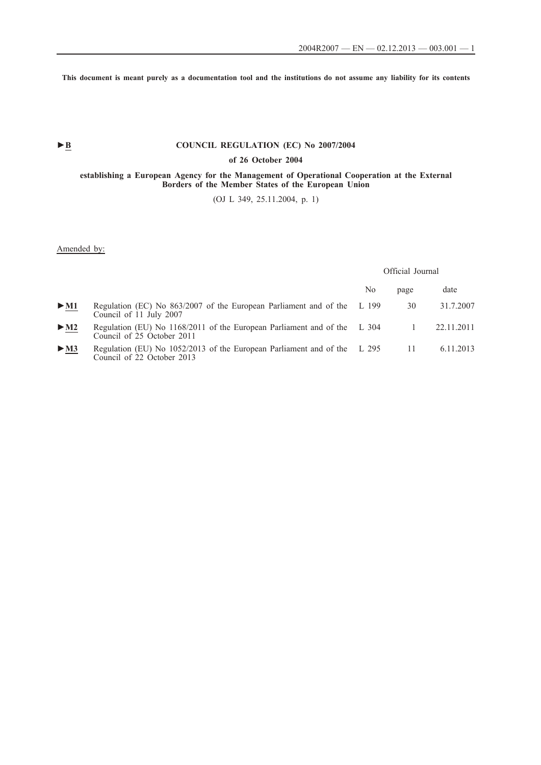**This document is meant purely as a documentation tool and the institutions do not assume any liability for its contents**

# ► **B** COUNCIL REGULATION (EC) No 2007/2004

## **of 26 October 2004**

#### **establishing a European Agency for the Management of Operational Cooperation at the External Borders of the Member States of the European Union**

(OJ L 349, 25.11.2004, p. 1)

## Amended by:

Official Journal

|                            |                                                                                                          | No | page           | date       |
|----------------------------|----------------------------------------------------------------------------------------------------------|----|----------------|------------|
| $\triangleright$ M1        | Regulation (EC) No 863/2007 of the European Parliament and of the L 199<br>Council of 11 July 2007       |    | 30             | 31.7.2007  |
| $\blacktriangleright$ M2   | Regulation (EU) No 1168/2011 of the European Parliament and of the L 304<br>Council of 25 October 2011   |    |                | 22.11.2011 |
| $\triangleright$ <u>M3</u> | Regulation (EU) No $1052/2013$ of the European Parliament and of the L 295<br>Council of 22 October 2013 |    | $\frac{11}{2}$ | 6.11.2013  |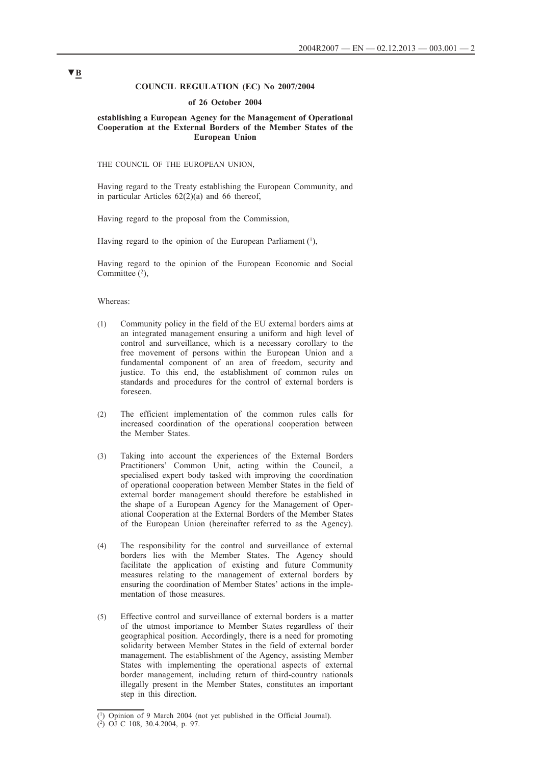### **COUNCIL REGULATION (EC) No 2007/2004**

#### **of 26 October 2004**

### **establishing a European Agency for the Management of Operational Cooperation at the External Borders of the Member States of the European Union**

THE COUNCIL OF THE EUROPEAN UNION,

Having regard to the Treaty establishing the European Community, and in particular Articles 62(2)(a) and 66 thereof,

Having regard to the proposal from the Commission,

Having regard to the opinion of the European Parliament  $(1)$ ,

Having regard to the opinion of the European Economic and Social Committee  $(2)$ ,

### Whereas:

- (1) Community policy in the field of the EU external borders aims at an integrated management ensuring a uniform and high level of control and surveillance, which is a necessary corollary to the free movement of persons within the European Union and a fundamental component of an area of freedom, security and justice. To this end, the establishment of common rules on standards and procedures for the control of external borders is foreseen.
- (2) The efficient implementation of the common rules calls for increased coordination of the operational cooperation between the Member States.
- (3) Taking into account the experiences of the External Borders Practitioners' Common Unit, acting within the Council, a specialised expert body tasked with improving the coordination of operational cooperation between Member States in the field of external border management should therefore be established in the shape of a European Agency for the Management of Operational Cooperation at the External Borders of the Member States of the European Union (hereinafter referred to as the Agency).
- (4) The responsibility for the control and surveillance of external borders lies with the Member States. The Agency should facilitate the application of existing and future Community measures relating to the management of external borders by ensuring the coordination of Member States' actions in the implementation of those measures.
- (5) Effective control and surveillance of external borders is a matter of the utmost importance to Member States regardless of their geographical position. Accordingly, there is a need for promoting solidarity between Member States in the field of external border management. The establishment of the Agency, assisting Member States with implementing the operational aspects of external border management, including return of third-country nationals illegally present in the Member States, constitutes an important step in this direction.

<sup>(1)</sup> Opinion of 9 March 2004 (not yet published in the Official Journal).

<sup>(2)</sup> OJ C 108, 30.4.2004, p. 97.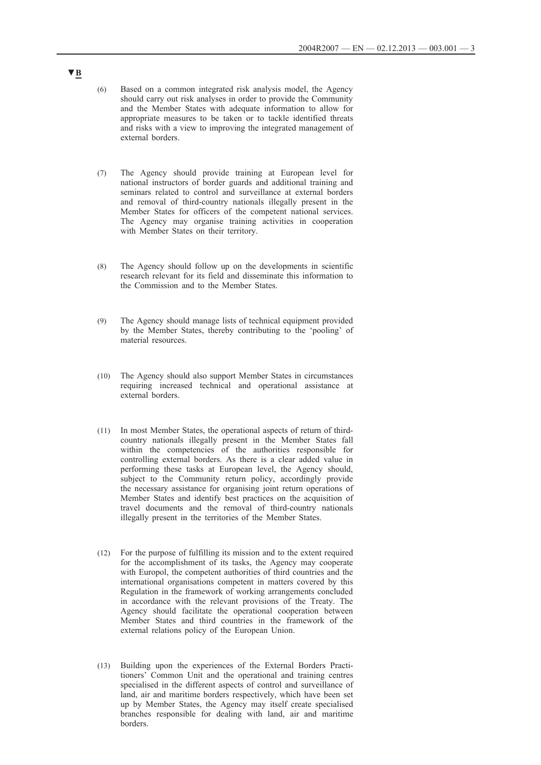- (6) Based on a common integrated risk analysis model, the Agency should carry out risk analyses in order to provide the Community and the Member States with adequate information to allow for appropriate measures to be taken or to tackle identified threats and risks with a view to improving the integrated management of external borders.
- (7) The Agency should provide training at European level for national instructors of border guards and additional training and seminars related to control and surveillance at external borders and removal of third-country nationals illegally present in the Member States for officers of the competent national services. The Agency may organise training activities in cooperation with Member States on their territory.
- (8) The Agency should follow up on the developments in scientific research relevant for its field and disseminate this information to the Commission and to the Member States.
- (9) The Agency should manage lists of technical equipment provided by the Member States, thereby contributing to the 'pooling' of material resources.
- (10) The Agency should also support Member States in circumstances requiring increased technical and operational assistance at external borders.
- (11) In most Member States, the operational aspects of return of thirdcountry nationals illegally present in the Member States fall within the competencies of the authorities responsible for controlling external borders. As there is a clear added value in performing these tasks at European level, the Agency should, subject to the Community return policy, accordingly provide the necessary assistance for organising joint return operations of Member States and identify best practices on the acquisition of travel documents and the removal of third-country nationals illegally present in the territories of the Member States.
- (12) For the purpose of fulfilling its mission and to the extent required for the accomplishment of its tasks, the Agency may cooperate with Europol, the competent authorities of third countries and the international organisations competent in matters covered by this Regulation in the framework of working arrangements concluded in accordance with the relevant provisions of the Treaty. The Agency should facilitate the operational cooperation between Member States and third countries in the framework of the external relations policy of the European Union.
- (13) Building upon the experiences of the External Borders Practitioners' Common Unit and the operational and training centres specialised in the different aspects of control and surveillance of land, air and maritime borders respectively, which have been set up by Member States, the Agency may itself create specialised branches responsible for dealing with land, air and maritime borders.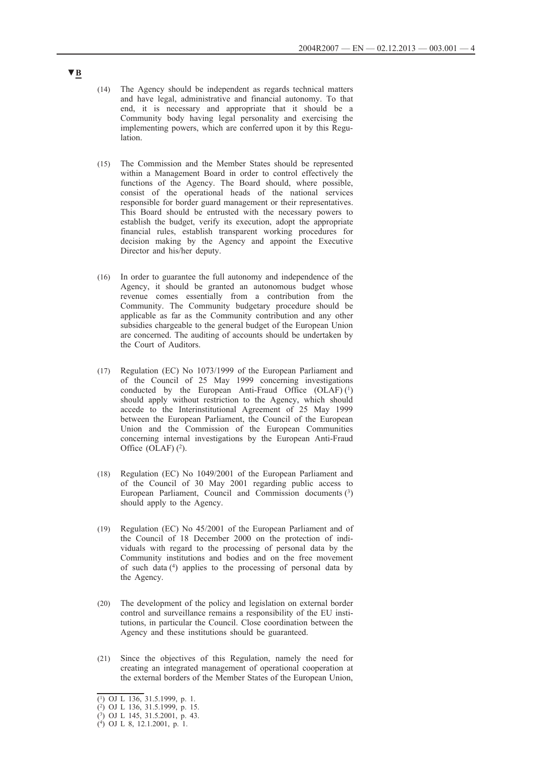- (14) The Agency should be independent as regards technical matters and have legal, administrative and financial autonomy. To that end, it is necessary and appropriate that it should be a Community body having legal personality and exercising the implementing powers, which are conferred upon it by this Regulation.
- (15) The Commission and the Member States should be represented within a Management Board in order to control effectively the functions of the Agency. The Board should, where possible, consist of the operational heads of the national services responsible for border guard management or their representatives. This Board should be entrusted with the necessary powers to establish the budget, verify its execution, adopt the appropriate financial rules, establish transparent working procedures for decision making by the Agency and appoint the Executive Director and his/her deputy.
- (16) In order to guarantee the full autonomy and independence of the Agency, it should be granted an autonomous budget whose revenue comes essentially from a contribution from the Community. The Community budgetary procedure should be applicable as far as the Community contribution and any other subsidies chargeable to the general budget of the European Union are concerned. The auditing of accounts should be undertaken by the Court of Auditors.
- (17) Regulation (EC) No 1073/1999 of the European Parliament and of the Council of 25 May 1999 concerning investigations conducted by the European Anti-Fraud Office  $(OLAF)$ <sup>(1)</sup> should apply without restriction to the Agency, which should accede to the Interinstitutional Agreement of 25 May 1999 between the European Parliament, the Council of the European Union and the Commission of the European Communities concerning internal investigations by the European Anti-Fraud Office  $(OLAF)$   $(^{2})$ .
- (18) Regulation (EC) No 1049/2001 of the European Parliament and of the Council of 30 May 2001 regarding public access to European Parliament, Council and Commission documents (3) should apply to the Agency.
- (19) Regulation (EC) No 45/2001 of the European Parliament and of the Council of 18 December 2000 on the protection of individuals with regard to the processing of personal data by the Community institutions and bodies and on the free movement of such data (4) applies to the processing of personal data by the Agency.
- (20) The development of the policy and legislation on external border control and surveillance remains a responsibility of the EU institutions, in particular the Council. Close coordination between the Agency and these institutions should be guaranteed.
- (21) Since the objectives of this Regulation, namely the need for creating an integrated management of operational cooperation at the external borders of the Member States of the European Union,

<sup>(1)</sup> OJ L 136, 31.5.1999, p. 1.

<sup>(2)</sup> OJ L 136, 31.5.1999, p. 15.

<sup>(3)</sup> OJ L 145, 31.5.2001, p. 43.

<sup>(4)</sup> OJ L 8, 12.1.2001, p. 1.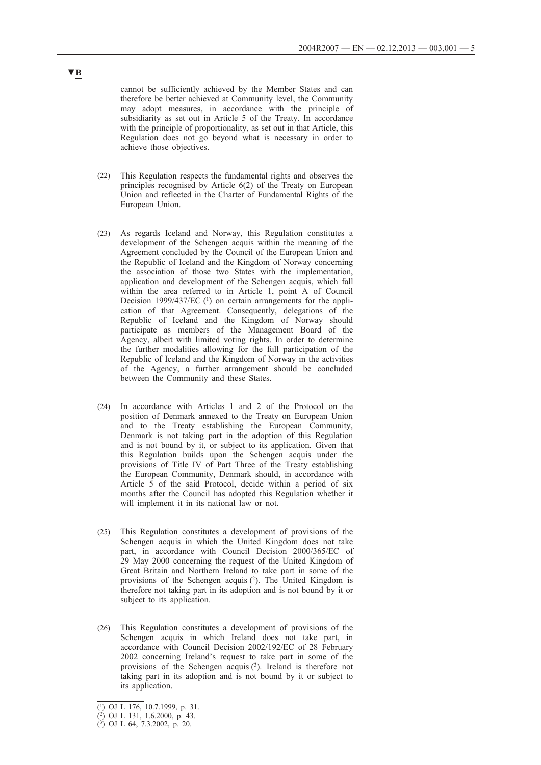cannot be sufficiently achieved by the Member States and can therefore be better achieved at Community level, the Community may adopt measures, in accordance with the principle of subsidiarity as set out in Article 5 of the Treaty. In accordance with the principle of proportionality, as set out in that Article, this Regulation does not go beyond what is necessary in order to achieve those objectives.

- (22) This Regulation respects the fundamental rights and observes the principles recognised by Article 6(2) of the Treaty on European Union and reflected in the Charter of Fundamental Rights of the European Union.
- (23) As regards Iceland and Norway, this Regulation constitutes a development of the Schengen acquis within the meaning of the Agreement concluded by the Council of the European Union and the Republic of Iceland and the Kingdom of Norway concerning the association of those two States with the implementation, application and development of the Schengen acquis, which fall within the area referred to in Article 1, point A of Council Decision 1999/437/EC (1) on certain arrangements for the application of that Agreement. Consequently, delegations of the Republic of Iceland and the Kingdom of Norway should participate as members of the Management Board of the Agency, albeit with limited voting rights. In order to determine the further modalities allowing for the full participation of the Republic of Iceland and the Kingdom of Norway in the activities of the Agency, a further arrangement should be concluded between the Community and these States.
- (24) In accordance with Articles 1 and 2 of the Protocol on the position of Denmark annexed to the Treaty on European Union and to the Treaty establishing the European Community, Denmark is not taking part in the adoption of this Regulation and is not bound by it, or subject to its application. Given that this Regulation builds upon the Schengen acquis under the provisions of Title IV of Part Three of the Treaty establishing the European Community, Denmark should, in accordance with Article 5 of the said Protocol, decide within a period of six months after the Council has adopted this Regulation whether it will implement it in its national law or not.
- (25) This Regulation constitutes a development of provisions of the Schengen acquis in which the United Kingdom does not take part, in accordance with Council Decision 2000/365/EC of 29 May 2000 concerning the request of the United Kingdom of Great Britain and Northern Ireland to take part in some of the provisions of the Schengen acquis (2). The United Kingdom is therefore not taking part in its adoption and is not bound by it or subject to its application.
- (26) This Regulation constitutes a development of provisions of the Schengen acquis in which Ireland does not take part, in accordance with Council Decision 2002/192/EC of 28 February 2002 concerning Ireland's request to take part in some of the provisions of the Schengen acquis (3). Ireland is therefore not taking part in its adoption and is not bound by it or subject to its application.

<sup>(1)</sup> OJ L 176, 10.7.1999, p. 31.

<sup>(2)</sup> OJ L 131, 1.6.2000, p. 43.

<sup>(3)</sup> OJ L 64, 7.3.2002, p. 20.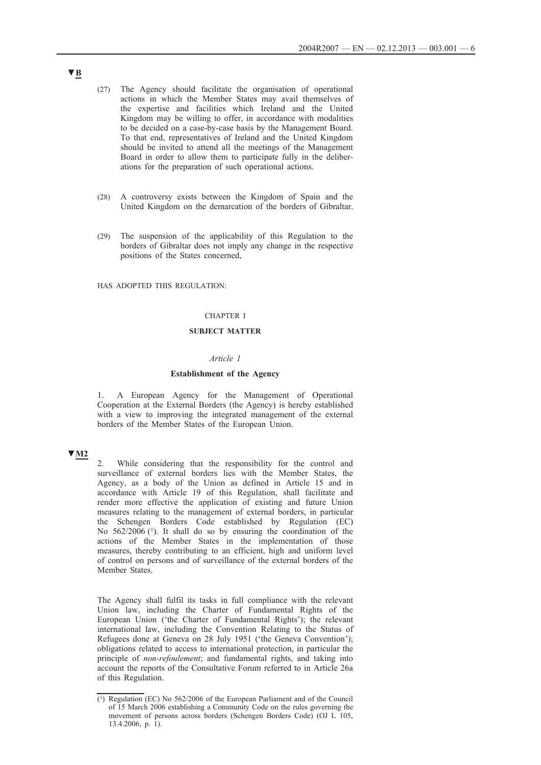- (27) The Agency should facilitate the organisation of operational actions in which the Member States may avail themselves of the expertise and facilities which Ireland and the United Kingdom may be willing to offer, in accordance with modalities to be decided on a case-by-case basis by the Management Board. To that end, representatives of Ireland and the United Kingdom should be invited to attend all the meetings of the Management Board in order to allow them to participate fully in the deliberations for the preparation of such operational actions.
- (28) A controversy exists between the Kingdom of Spain and the United Kingdom on the demarcation of the borders of Gibraltar.
- (29) The suspension of the applicability of this Regulation to the borders of Gibraltar does not imply any change in the respective positions of the States concerned,

HAS ADOPTED THIS REGULATION:

## CHAPTER I

#### **SUBJECT MATTER**

### *Article 1*

#### **Establishment of the Agency**

1. A European Agency for the Management of Operational Cooperation at the External Borders (the Agency) is hereby established with a view to improving the integrated management of the external borders of the Member States of the European Union.

## **▼M2**

2. While considering that the responsibility for the control and surveillance of external borders lies with the Member States, the Agency, as a body of the Union as defined in Article 15 and in accordance with Article 19 of this Regulation, shall facilitate and render more effective the application of existing and future Union measures relating to the management of external borders, in particular the Schengen Borders Code established by Regulation (EC) No 562/2006 (1). It shall do so by ensuring the coordination of the actions of the Member States in the implementation of those measures, thereby contributing to an efficient, high and uniform level of control on persons and of surveillance of the external borders of the Member States.

The Agency shall fulfil its tasks in full compliance with the relevant Union law, including the Charter of Fundamental Rights of the European Union ('the Charter of Fundamental Rights'); the relevant international law, including the Convention Relating to the Status of Refugees done at Geneva on 28 July 1951 ('the Geneva Convention'); obligations related to access to international protection, in particular the principle of *non-refoulement*; and fundamental rights, and taking into account the reports of the Consultative Forum referred to in Article 26a of this Regulation.

<sup>(1)</sup> Regulation (EC) No 562/2006 of the European Parliament and of the Council of 15 March 2006 establishing a Community Code on the rules governing the movement of persons across borders (Schengen Borders Code) (OJ L 105, 13.4.2006, p. 1).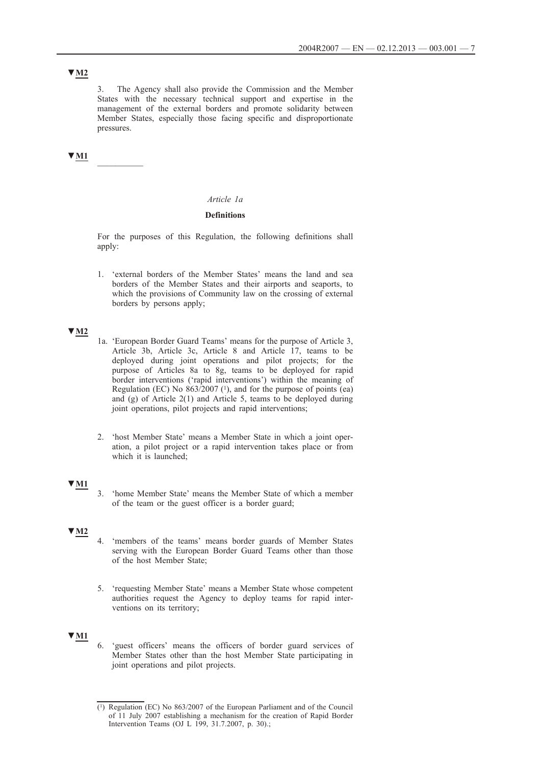# **▼M2**

3. The Agency shall also provide the Commission and the Member States with the necessary technical support and expertise in the management of the external borders and promote solidarity between Member States, especially those facing specific and disproportionate pressures.

**▼M1** \_\_\_\_\_\_\_\_\_\_

## *Article 1a*

### **Definitions**

For the purposes of this Regulation, the following definitions shall apply:

1. 'external borders of the Member States' means the land and sea borders of the Member States and their airports and seaports, to which the provisions of Community law on the crossing of external borders by persons apply;

# **▼M2**

- 1a. 'European Border Guard Teams' means for the purpose of Article 3, Article 3b, Article 3c, Article 8 and Article 17, teams to be deployed during joint operations and pilot projects; for the purpose of Articles 8a to 8g, teams to be deployed for rapid border interventions ('rapid interventions') within the meaning of Regulation (EC) No  $863/2007$  ( $^{1}$ ), and for the purpose of points (ea) and (g) of Article 2(1) and Article 5, teams to be deployed during joint operations, pilot projects and rapid interventions;
- 2. 'host Member State' means a Member State in which a joint operation, a pilot project or a rapid intervention takes place or from which it is launched;

# **▼M1**

3. 'home Member State' means the Member State of which a member of the team or the guest officer is a border guard;

## **▼M2**

- 4. 'members of the teams' means border guards of Member States serving with the European Border Guard Teams other than those of the host Member State;
- 5. 'requesting Member State' means a Member State whose competent authorities request the Agency to deploy teams for rapid interventions on its territory;

## **▼M1**

6. 'guest officers' means the officers of border guard services of Member States other than the host Member State participating in joint operations and pilot projects.

<sup>(1)</sup> Regulation (EC) No 863/2007 of the European Parliament and of the Council of 11 July 2007 establishing a mechanism for the creation of Rapid Border Intervention Teams (OJ L 199, 31.7.2007, p. 30).;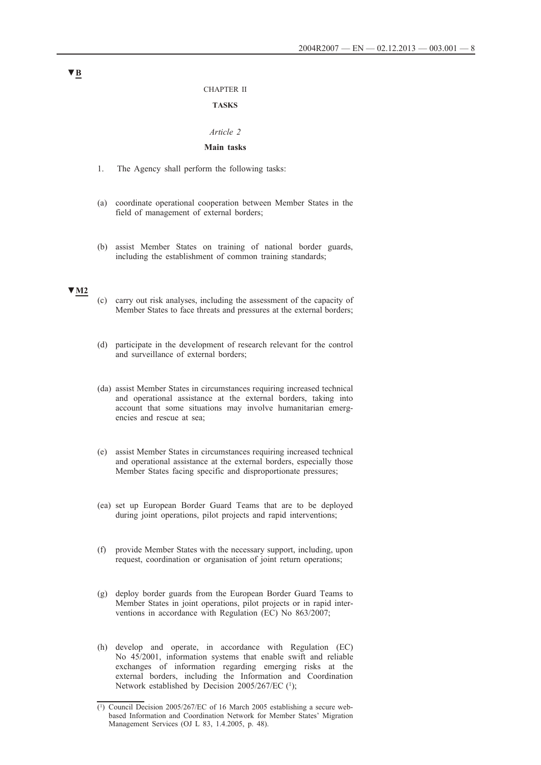#### CHAPTER II

### **TASKS**

#### *Article 2*

## **Main tasks**

- 1. The Agency shall perform the following tasks:
- (a) coordinate operational cooperation between Member States in the field of management of external borders;
- (b) assist Member States on training of national border guards, including the establishment of common training standards;

# **▼M2**

- (c) carry out risk analyses, including the assessment of the capacity of Member States to face threats and pressures at the external borders;
- (d) participate in the development of research relevant for the control and surveillance of external borders;
- (da) assist Member States in circumstances requiring increased technical and operational assistance at the external borders, taking into account that some situations may involve humanitarian emergencies and rescue at sea;
- (e) assist Member States in circumstances requiring increased technical and operational assistance at the external borders, especially those Member States facing specific and disproportionate pressures;
- (ea) set up European Border Guard Teams that are to be deployed during joint operations, pilot projects and rapid interventions;
- (f) provide Member States with the necessary support, including, upon request, coordination or organisation of joint return operations;
- (g) deploy border guards from the European Border Guard Teams to Member States in joint operations, pilot projects or in rapid interventions in accordance with Regulation (EC) No 863/2007;
- (h) develop and operate, in accordance with Regulation (EC) No 45/2001, information systems that enable swift and reliable exchanges of information regarding emerging risks at the external borders, including the Information and Coordination Network established by Decision 2005/267/EC (1);

<sup>(1)</sup> Council Decision 2005/267/EC of 16 March 2005 establishing a secure webbased Information and Coordination Network for Member States' Migration Management Services (OJ L 83, 1.4.2005, p. 48).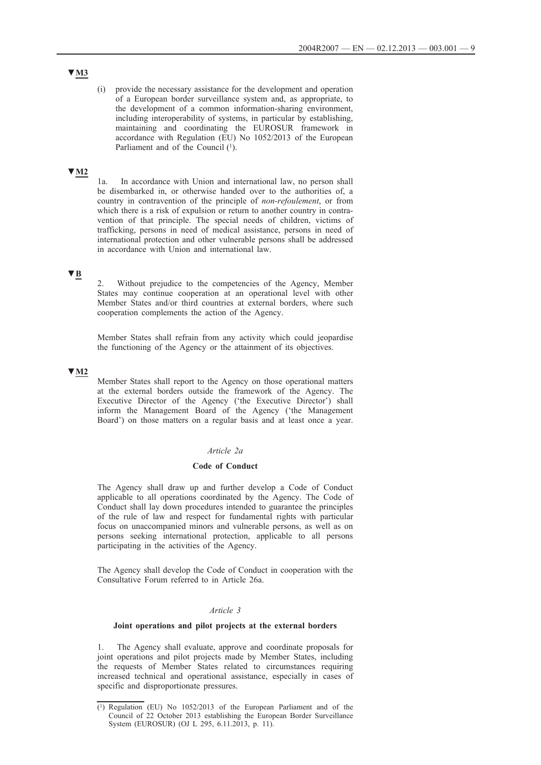# **▼M3**

(i) provide the necessary assistance for the development and operation of a European border surveillance system and, as appropriate, to the development of a common information-sharing environment, including interoperability of systems, in particular by establishing, maintaining and coordinating the EUROSUR framework in accordance with Regulation (EU) No 1052/2013 of the European Parliament and of the Council (1).

# **▼M2**

1a. In accordance with Union and international law, no person shall be disembarked in, or otherwise handed over to the authorities of, a country in contravention of the principle of *non-refoulement*, or from which there is a risk of expulsion or return to another country in contravention of that principle. The special needs of children, victims of trafficking, persons in need of medical assistance, persons in need of international protection and other vulnerable persons shall be addressed in accordance with Union and international law.

# **▼B**

2. Without prejudice to the competencies of the Agency, Member States may continue cooperation at an operational level with other Member States and/or third countries at external borders, where such cooperation complements the action of the Agency.

Member States shall refrain from any activity which could jeopardise the functioning of the Agency or the attainment of its objectives.

## **▼M2**

Member States shall report to the Agency on those operational matters at the external borders outside the framework of the Agency. The Executive Director of the Agency ('the Executive Director') shall inform the Management Board of the Agency ('the Management Board') on those matters on a regular basis and at least once a year.

### *Article 2a*

### **Code of Conduct**

The Agency shall draw up and further develop a Code of Conduct applicable to all operations coordinated by the Agency. The Code of Conduct shall lay down procedures intended to guarantee the principles of the rule of law and respect for fundamental rights with particular focus on unaccompanied minors and vulnerable persons, as well as on persons seeking international protection, applicable to all persons participating in the activities of the Agency.

The Agency shall develop the Code of Conduct in cooperation with the Consultative Forum referred to in Article 26a.

## *Article 3*

#### **Joint operations and pilot projects at the external borders**

1. The Agency shall evaluate, approve and coordinate proposals for joint operations and pilot projects made by Member States, including the requests of Member States related to circumstances requiring increased technical and operational assistance, especially in cases of specific and disproportionate pressures.

<sup>(1)</sup> Regulation (EU) No 1052/2013 of the European Parliament and of the Council of 22 October 2013 establishing the European Border Surveillance System (EUROSUR) (OJ L 295, 6.11.2013, p. 11).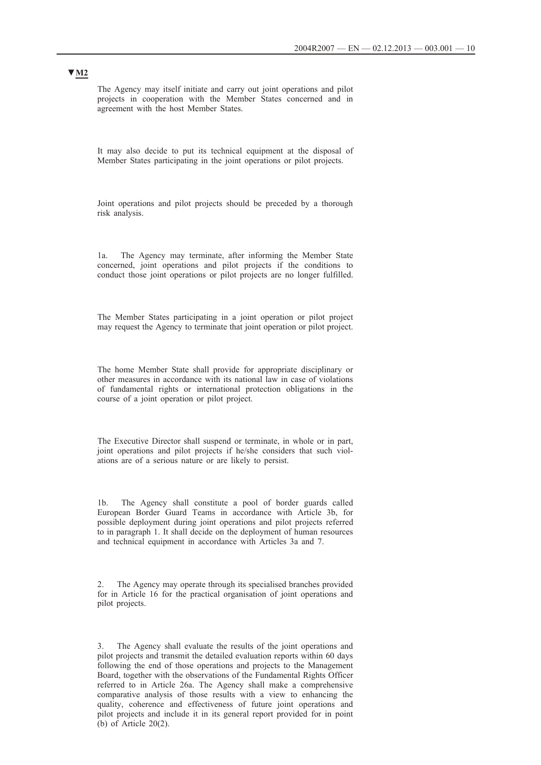The Agency may itself initiate and carry out joint operations and pilot projects in cooperation with the Member States concerned and in agreement with the host Member States.

It may also decide to put its technical equipment at the disposal of Member States participating in the joint operations or pilot projects.

Joint operations and pilot projects should be preceded by a thorough risk analysis.

1a. The Agency may terminate, after informing the Member State concerned, joint operations and pilot projects if the conditions to conduct those joint operations or pilot projects are no longer fulfilled.

The Member States participating in a joint operation or pilot project may request the Agency to terminate that joint operation or pilot project.

The home Member State shall provide for appropriate disciplinary or other measures in accordance with its national law in case of violations of fundamental rights or international protection obligations in the course of a joint operation or pilot project.

The Executive Director shall suspend or terminate, in whole or in part, joint operations and pilot projects if he/she considers that such violations are of a serious nature or are likely to persist.

1b. The Agency shall constitute a pool of border guards called European Border Guard Teams in accordance with Article 3b, for possible deployment during joint operations and pilot projects referred to in paragraph 1. It shall decide on the deployment of human resources and technical equipment in accordance with Articles 3a and 7.

2. The Agency may operate through its specialised branches provided for in Article 16 for the practical organisation of joint operations and pilot projects.

3. The Agency shall evaluate the results of the joint operations and pilot projects and transmit the detailed evaluation reports within 60 days following the end of those operations and projects to the Management Board, together with the observations of the Fundamental Rights Officer referred to in Article 26a. The Agency shall make a comprehensive comparative analysis of those results with a view to enhancing the quality, coherence and effectiveness of future joint operations and pilot projects and include it in its general report provided for in point (b) of Article 20(2).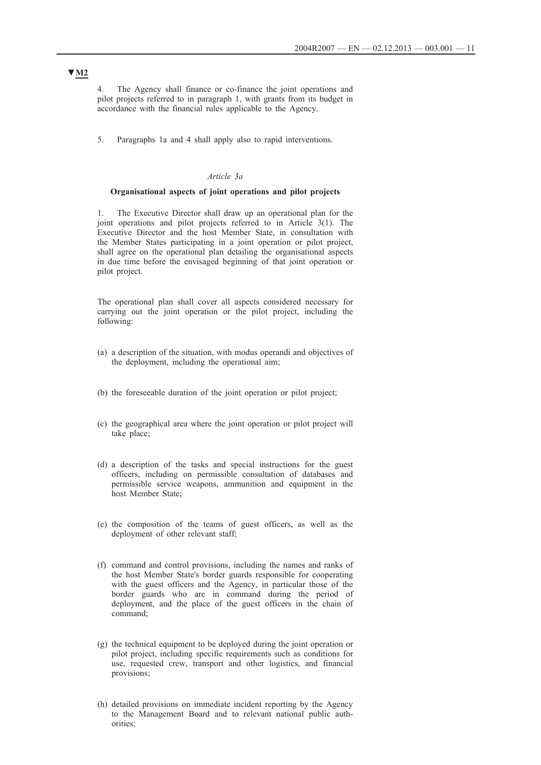4. The Agency shall finance or co-finance the joint operations and pilot projects referred to in paragraph 1, with grants from its budget in accordance with the financial rules applicable to the Agency.

5. Paragraphs 1a and 4 shall apply also to rapid interventions.

### *Article 3a*

#### **Organisational aspects of joint operations and pilot projects**

1. The Executive Director shall draw up an operational plan for the joint operations and pilot projects referred to in Article 3(1). The Executive Director and the host Member State, in consultation with the Member States participating in a joint operation or pilot project, shall agree on the operational plan detailing the organisational aspects in due time before the envisaged beginning of that joint operation or pilot project.

The operational plan shall cover all aspects considered necessary for carrying out the joint operation or the pilot project, including the following:

- (a) a description of the situation, with modus operandi and objectives of the deployment, including the operational aim;
- (b) the foreseeable duration of the joint operation or pilot project;
- (c) the geographical area where the joint operation or pilot project will take place;
- (d) a description of the tasks and special instructions for the guest officers, including on permissible consultation of databases and permissible service weapons, ammunition and equipment in the host Member State;
- (e) the composition of the teams of guest officers, as well as the deployment of other relevant staff;
- (f) command and control provisions, including the names and ranks of the host Member State's border guards responsible for cooperating with the guest officers and the Agency, in particular those of the border guards who are in command during the period of deployment, and the place of the guest officers in the chain of command;
- (g) the technical equipment to be deployed during the joint operation or pilot project, including specific requirements such as conditions for use, requested crew, transport and other logistics, and financial provisions;
- (h) detailed provisions on immediate incident reporting by the Agency to the Management Board and to relevant national public authorities;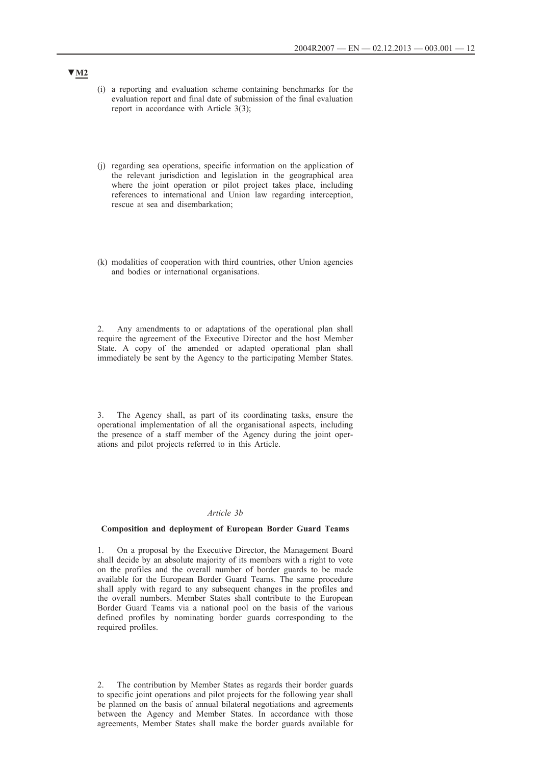- (i) a reporting and evaluation scheme containing benchmarks for the evaluation report and final date of submission of the final evaluation report in accordance with Article 3(3);
- (j) regarding sea operations, specific information on the application of the relevant jurisdiction and legislation in the geographical area where the joint operation or pilot project takes place, including references to international and Union law regarding interception, rescue at sea and disembarkation;
- (k) modalities of cooperation with third countries, other Union agencies and bodies or international organisations.

2. Any amendments to or adaptations of the operational plan shall require the agreement of the Executive Director and the host Member State. A copy of the amended or adapted operational plan shall immediately be sent by the Agency to the participating Member States.

3. The Agency shall, as part of its coordinating tasks, ensure the operational implementation of all the organisational aspects, including the presence of a staff member of the Agency during the joint operations and pilot projects referred to in this Article.

## *Article 3b*

#### **Composition and deployment of European Border Guard Teams**

1. On a proposal by the Executive Director, the Management Board shall decide by an absolute majority of its members with a right to vote on the profiles and the overall number of border guards to be made available for the European Border Guard Teams. The same procedure shall apply with regard to any subsequent changes in the profiles and the overall numbers. Member States shall contribute to the European Border Guard Teams via a national pool on the basis of the various defined profiles by nominating border guards corresponding to the required profiles.

2. The contribution by Member States as regards their border guards to specific joint operations and pilot projects for the following year shall be planned on the basis of annual bilateral negotiations and agreements between the Agency and Member States. In accordance with those agreements, Member States shall make the border guards available for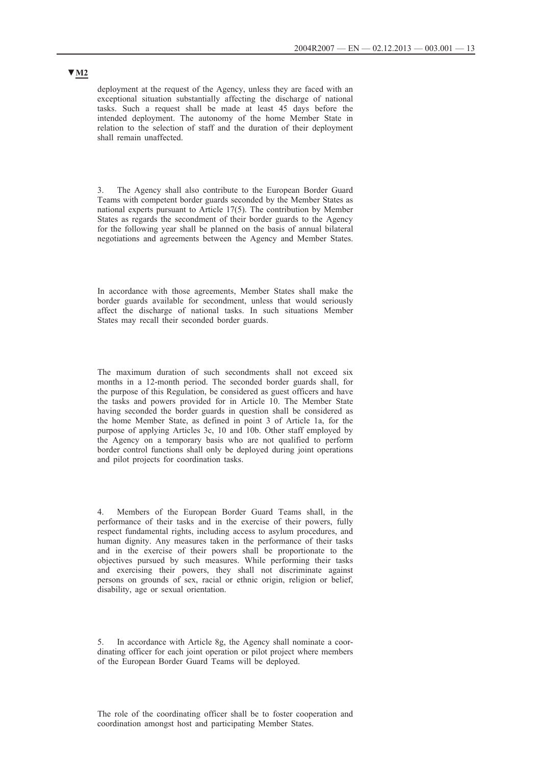deployment at the request of the Agency, unless they are faced with an exceptional situation substantially affecting the discharge of national tasks. Such a request shall be made at least 45 days before the intended deployment. The autonomy of the home Member State in relation to the selection of staff and the duration of their deployment shall remain unaffected.

3. The Agency shall also contribute to the European Border Guard Teams with competent border guards seconded by the Member States as national experts pursuant to Article 17(5). The contribution by Member States as regards the secondment of their border guards to the Agency for the following year shall be planned on the basis of annual bilateral negotiations and agreements between the Agency and Member States.

In accordance with those agreements, Member States shall make the border guards available for secondment, unless that would seriously affect the discharge of national tasks. In such situations Member States may recall their seconded border guards.

The maximum duration of such secondments shall not exceed six months in a 12-month period. The seconded border guards shall, for the purpose of this Regulation, be considered as guest officers and have the tasks and powers provided for in Article 10. The Member State having seconded the border guards in question shall be considered as the home Member State, as defined in point 3 of Article 1a, for the purpose of applying Articles 3c, 10 and 10b. Other staff employed by the Agency on a temporary basis who are not qualified to perform border control functions shall only be deployed during joint operations and pilot projects for coordination tasks.

4. Members of the European Border Guard Teams shall, in the performance of their tasks and in the exercise of their powers, fully respect fundamental rights, including access to asylum procedures, and human dignity. Any measures taken in the performance of their tasks and in the exercise of their powers shall be proportionate to the objectives pursued by such measures. While performing their tasks and exercising their powers, they shall not discriminate against persons on grounds of sex, racial or ethnic origin, religion or belief, disability, age or sexual orientation.

In accordance with Article 8g, the Agency shall nominate a coordinating officer for each joint operation or pilot project where members of the European Border Guard Teams will be deployed.

The role of the coordinating officer shall be to foster cooperation and coordination amongst host and participating Member States.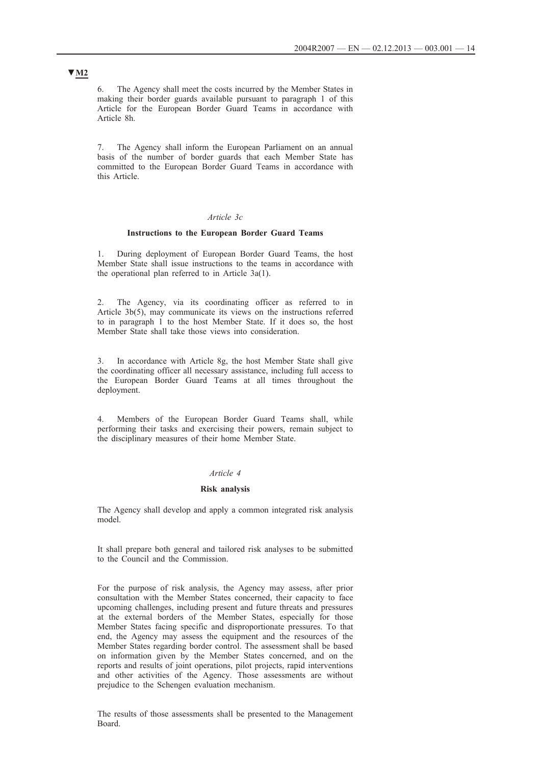6. The Agency shall meet the costs incurred by the Member States in making their border guards available pursuant to paragraph 1 of this Article for the European Border Guard Teams in accordance with Article 8h.

7. The Agency shall inform the European Parliament on an annual basis of the number of border guards that each Member State has committed to the European Border Guard Teams in accordance with this Article.

### *Article 3c*

## **Instructions to the European Border Guard Teams**

1. During deployment of European Border Guard Teams, the host Member State shall issue instructions to the teams in accordance with the operational plan referred to in Article 3a(1).

2. The Agency, via its coordinating officer as referred to in Article 3b(5), may communicate its views on the instructions referred to in paragraph 1 to the host Member State. If it does so, the host Member State shall take those views into consideration.

3. In accordance with Article 8g, the host Member State shall give the coordinating officer all necessary assistance, including full access to the European Border Guard Teams at all times throughout the deployment.

4. Members of the European Border Guard Teams shall, while performing their tasks and exercising their powers, remain subject to the disciplinary measures of their home Member State.

## *Article 4*

#### **Risk analysis**

The Agency shall develop and apply a common integrated risk analysis model.

It shall prepare both general and tailored risk analyses to be submitted to the Council and the Commission.

For the purpose of risk analysis, the Agency may assess, after prior consultation with the Member States concerned, their capacity to face upcoming challenges, including present and future threats and pressures at the external borders of the Member States, especially for those Member States facing specific and disproportionate pressures. To that end, the Agency may assess the equipment and the resources of the Member States regarding border control. The assessment shall be based on information given by the Member States concerned, and on the reports and results of joint operations, pilot projects, rapid interventions and other activities of the Agency. Those assessments are without prejudice to the Schengen evaluation mechanism.

The results of those assessments shall be presented to the Management Board.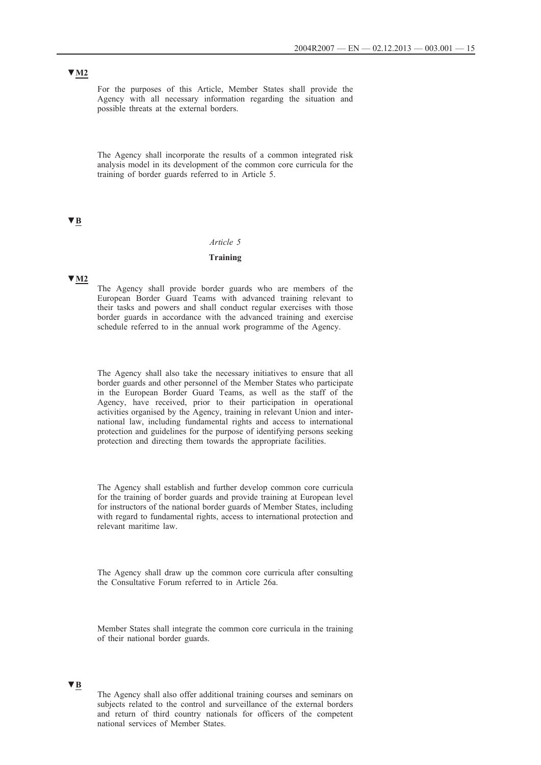# **▼M2**

For the purposes of this Article, Member States shall provide the Agency with all necessary information regarding the situation and possible threats at the external borders.

The Agency shall incorporate the results of a common integrated risk analysis model in its development of the common core curricula for the training of border guards referred to in Article 5.

# **▼B**

#### *Article 5*

### **Training**

### **▼M2**

The Agency shall provide border guards who are members of the European Border Guard Teams with advanced training relevant to their tasks and powers and shall conduct regular exercises with those border guards in accordance with the advanced training and exercise schedule referred to in the annual work programme of the Agency.

The Agency shall also take the necessary initiatives to ensure that all border guards and other personnel of the Member States who participate in the European Border Guard Teams, as well as the staff of the Agency, have received, prior to their participation in operational activities organised by the Agency, training in relevant Union and international law, including fundamental rights and access to international protection and guidelines for the purpose of identifying persons seeking protection and directing them towards the appropriate facilities.

The Agency shall establish and further develop common core curricula for the training of border guards and provide training at European level for instructors of the national border guards of Member States, including with regard to fundamental rights, access to international protection and relevant maritime law.

The Agency shall draw up the common core curricula after consulting the Consultative Forum referred to in Article 26a.

Member States shall integrate the common core curricula in the training of their national border guards.

# **▼B**

The Agency shall also offer additional training courses and seminars on subjects related to the control and surveillance of the external borders and return of third country nationals for officers of the competent national services of Member States.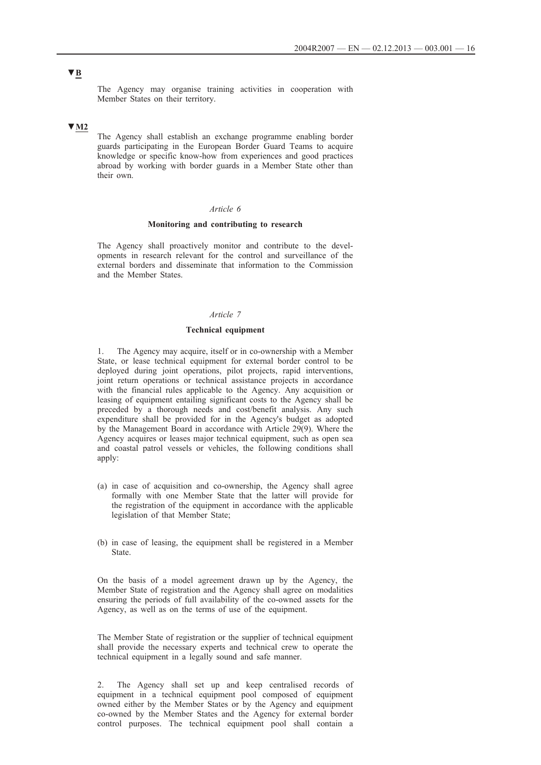The Agency may organise training activities in cooperation with Member States on their territory.

## **▼M2**

The Agency shall establish an exchange programme enabling border guards participating in the European Border Guard Teams to acquire knowledge or specific know-how from experiences and good practices abroad by working with border guards in a Member State other than their own.

## *Article 6*

#### **Monitoring and contributing to research**

The Agency shall proactively monitor and contribute to the developments in research relevant for the control and surveillance of the external borders and disseminate that information to the Commission and the Member States.

## *Article 7*

#### **Technical equipment**

The Agency may acquire, itself or in co-ownership with a Member State, or lease technical equipment for external border control to be deployed during joint operations, pilot projects, rapid interventions, joint return operations or technical assistance projects in accordance with the financial rules applicable to the Agency. Any acquisition or leasing of equipment entailing significant costs to the Agency shall be preceded by a thorough needs and cost/benefit analysis. Any such expenditure shall be provided for in the Agency's budget as adopted by the Management Board in accordance with Article 29(9). Where the Agency acquires or leases major technical equipment, such as open sea and coastal patrol vessels or vehicles, the following conditions shall apply:

- (a) in case of acquisition and co-ownership, the Agency shall agree formally with one Member State that the latter will provide for the registration of the equipment in accordance with the applicable legislation of that Member State;
- (b) in case of leasing, the equipment shall be registered in a Member State.

On the basis of a model agreement drawn up by the Agency, the Member State of registration and the Agency shall agree on modalities ensuring the periods of full availability of the co-owned assets for the Agency, as well as on the terms of use of the equipment.

The Member State of registration or the supplier of technical equipment shall provide the necessary experts and technical crew to operate the technical equipment in a legally sound and safe manner.

2. The Agency shall set up and keep centralised records of equipment in a technical equipment pool composed of equipment owned either by the Member States or by the Agency and equipment co-owned by the Member States and the Agency for external border control purposes. The technical equipment pool shall contain a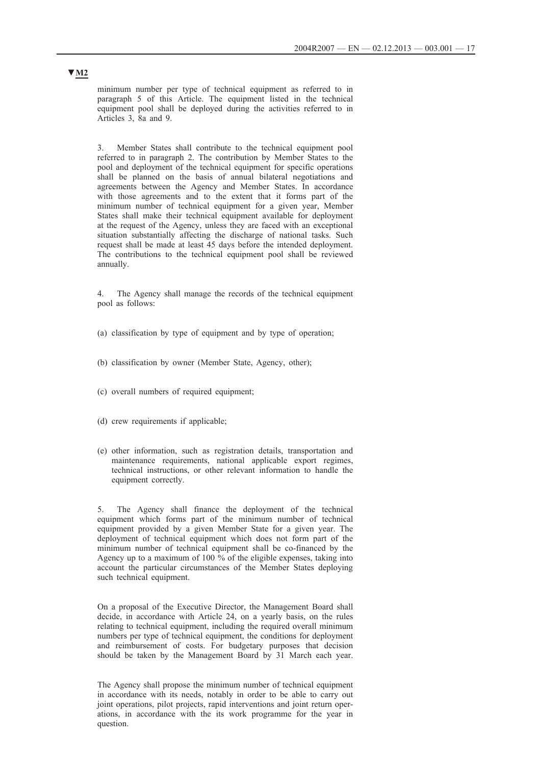minimum number per type of technical equipment as referred to in paragraph 5 of this Article. The equipment listed in the technical equipment pool shall be deployed during the activities referred to in Articles 3, 8a and 9.

3. Member States shall contribute to the technical equipment pool referred to in paragraph 2. The contribution by Member States to the pool and deployment of the technical equipment for specific operations shall be planned on the basis of annual bilateral negotiations and agreements between the Agency and Member States. In accordance with those agreements and to the extent that it forms part of the minimum number of technical equipment for a given year, Member States shall make their technical equipment available for deployment at the request of the Agency, unless they are faced with an exceptional situation substantially affecting the discharge of national tasks. Such request shall be made at least 45 days before the intended deployment. The contributions to the technical equipment pool shall be reviewed annually.

4. The Agency shall manage the records of the technical equipment pool as follows:

- (a) classification by type of equipment and by type of operation;
- (b) classification by owner (Member State, Agency, other);
- (c) overall numbers of required equipment;
- (d) crew requirements if applicable;
- (e) other information, such as registration details, transportation and maintenance requirements, national applicable export regimes, technical instructions, or other relevant information to handle the equipment correctly.

5. The Agency shall finance the deployment of the technical equipment which forms part of the minimum number of technical equipment provided by a given Member State for a given year. The deployment of technical equipment which does not form part of the minimum number of technical equipment shall be co-financed by the Agency up to a maximum of 100 % of the eligible expenses, taking into account the particular circumstances of the Member States deploying such technical equipment.

On a proposal of the Executive Director, the Management Board shall decide, in accordance with Article 24, on a yearly basis, on the rules relating to technical equipment, including the required overall minimum numbers per type of technical equipment, the conditions for deployment and reimbursement of costs. For budgetary purposes that decision should be taken by the Management Board by 31 March each year.

The Agency shall propose the minimum number of technical equipment in accordance with its needs, notably in order to be able to carry out joint operations, pilot projects, rapid interventions and joint return operations, in accordance with the its work programme for the year in question.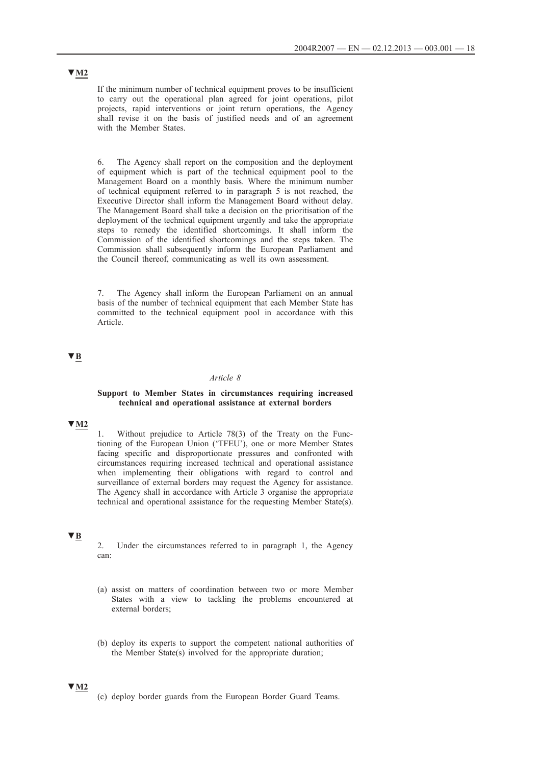If the minimum number of technical equipment proves to be insufficient to carry out the operational plan agreed for joint operations, pilot projects, rapid interventions or joint return operations, the Agency shall revise it on the basis of justified needs and of an agreement with the Member States.

6. The Agency shall report on the composition and the deployment of equipment which is part of the technical equipment pool to the Management Board on a monthly basis. Where the minimum number of technical equipment referred to in paragraph 5 is not reached, the Executive Director shall inform the Management Board without delay. The Management Board shall take a decision on the prioritisation of the deployment of the technical equipment urgently and take the appropriate steps to remedy the identified shortcomings. It shall inform the Commission of the identified shortcomings and the steps taken. The Commission shall subsequently inform the European Parliament and the Council thereof, communicating as well its own assessment.

7. The Agency shall inform the European Parliament on an annual basis of the number of technical equipment that each Member State has committed to the technical equipment pool in accordance with this Article.

# **▼B**

#### *Article 8*

### **Support to Member States in circumstances requiring increased technical and operational assistance at external borders**

# **▼M2**

1. Without prejudice to Article 78(3) of the Treaty on the Functioning of the European Union ('TFEU'), one or more Member States facing specific and disproportionate pressures and confronted with circumstances requiring increased technical and operational assistance when implementing their obligations with regard to control and surveillance of external borders may request the Agency for assistance. The Agency shall in accordance with Article 3 organise the appropriate technical and operational assistance for the requesting Member State(s).

# **▼B**

2. Under the circumstances referred to in paragraph 1, the Agency can:

- (a) assist on matters of coordination between two or more Member States with a view to tackling the problems encountered at external borders;
- (b) deploy its experts to support the competent national authorities of the Member State(s) involved for the appropriate duration;

### **▼M2**

(c) deploy border guards from the European Border Guard Teams.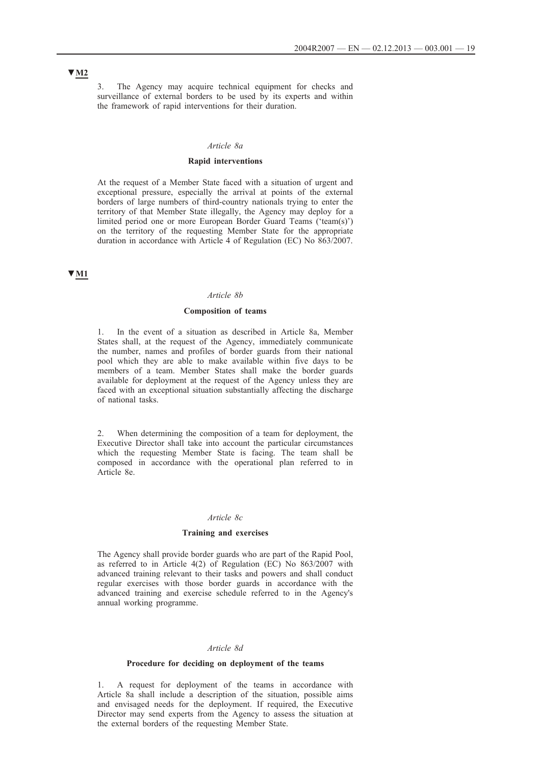3. The Agency may acquire technical equipment for checks and surveillance of external borders to be used by its experts and within the framework of rapid interventions for their duration.

#### *Article 8a*

### **Rapid interventions**

At the request of a Member State faced with a situation of urgent and exceptional pressure, especially the arrival at points of the external borders of large numbers of third-country nationals trying to enter the territory of that Member State illegally, the Agency may deploy for a limited period one or more European Border Guard Teams ('team(s)') on the territory of the requesting Member State for the appropriate duration in accordance with Article 4 of Regulation (EC) No 863/2007.

# **▼M1**

#### *Article 8b*

#### **Composition of teams**

1. In the event of a situation as described in Article 8a, Member States shall, at the request of the Agency, immediately communicate the number, names and profiles of border guards from their national pool which they are able to make available within five days to be members of a team. Member States shall make the border guards available for deployment at the request of the Agency unless they are faced with an exceptional situation substantially affecting the discharge of national tasks.

2. When determining the composition of a team for deployment, the Executive Director shall take into account the particular circumstances which the requesting Member State is facing. The team shall be composed in accordance with the operational plan referred to in Article 8e.

#### *Article 8c*

#### **Training and exercises**

The Agency shall provide border guards who are part of the Rapid Pool, as referred to in Article 4(2) of Regulation (EC) No 863/2007 with advanced training relevant to their tasks and powers and shall conduct regular exercises with those border guards in accordance with the advanced training and exercise schedule referred to in the Agency's annual working programme.

#### *Article 8d*

#### **Procedure for deciding on deployment of the teams**

1. A request for deployment of the teams in accordance with Article 8a shall include a description of the situation, possible aims and envisaged needs for the deployment. If required, the Executive Director may send experts from the Agency to assess the situation at the external borders of the requesting Member State.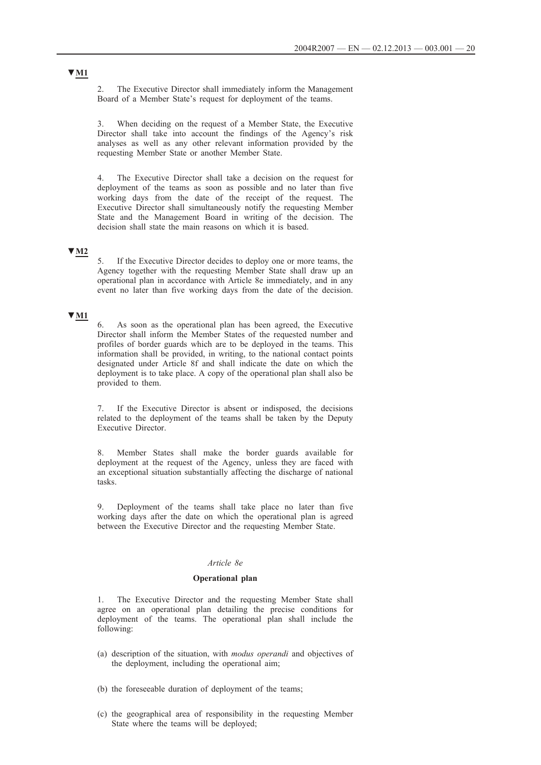2. The Executive Director shall immediately inform the Management Board of a Member State's request for deployment of the teams.

3. When deciding on the request of a Member State, the Executive Director shall take into account the findings of the Agency's risk analyses as well as any other relevant information provided by the requesting Member State or another Member State.

4. The Executive Director shall take a decision on the request for deployment of the teams as soon as possible and no later than five working days from the date of the receipt of the request. The Executive Director shall simultaneously notify the requesting Member State and the Management Board in writing of the decision. The decision shall state the main reasons on which it is based.

## **▼M2**

5. If the Executive Director decides to deploy one or more teams, the Agency together with the requesting Member State shall draw up an operational plan in accordance with Article 8e immediately, and in any event no later than five working days from the date of the decision.

# **▼M1**

6. As soon as the operational plan has been agreed, the Executive Director shall inform the Member States of the requested number and profiles of border guards which are to be deployed in the teams. This information shall be provided, in writing, to the national contact points designated under Article 8f and shall indicate the date on which the deployment is to take place. A copy of the operational plan shall also be provided to them.

7. If the Executive Director is absent or indisposed, the decisions related to the deployment of the teams shall be taken by the Deputy Executive Director.

8. Member States shall make the border guards available for deployment at the request of the Agency, unless they are faced with an exceptional situation substantially affecting the discharge of national tasks.

9. Deployment of the teams shall take place no later than five working days after the date on which the operational plan is agreed between the Executive Director and the requesting Member State.

### *Article 8e*

#### **Operational plan**

1. The Executive Director and the requesting Member State shall agree on an operational plan detailing the precise conditions for deployment of the teams. The operational plan shall include the following:

- (a) description of the situation, with *modus operandi* and objectives of the deployment, including the operational aim;
- (b) the foreseeable duration of deployment of the teams;
- (c) the geographical area of responsibility in the requesting Member State where the teams will be deployed;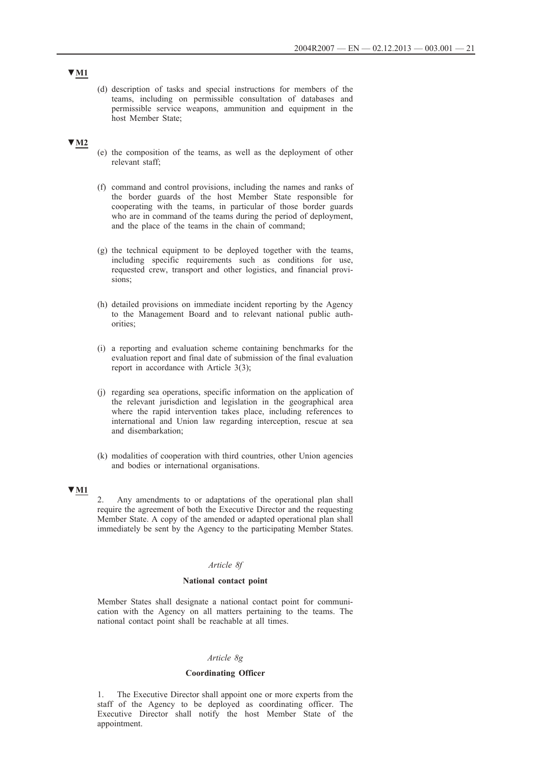(d) description of tasks and special instructions for members of the teams, including on permissible consultation of databases and permissible service weapons, ammunition and equipment in the host Member State;

## **▼M2**

- (e) the composition of the teams, as well as the deployment of other relevant staff;
- (f) command and control provisions, including the names and ranks of the border guards of the host Member State responsible for cooperating with the teams, in particular of those border guards who are in command of the teams during the period of deployment, and the place of the teams in the chain of command;
- (g) the technical equipment to be deployed together with the teams, including specific requirements such as conditions for use, requested crew, transport and other logistics, and financial provisions;
- (h) detailed provisions on immediate incident reporting by the Agency to the Management Board and to relevant national public authorities;
- (i) a reporting and evaluation scheme containing benchmarks for the evaluation report and final date of submission of the final evaluation report in accordance with Article 3(3);
- (j) regarding sea operations, specific information on the application of the relevant jurisdiction and legislation in the geographical area where the rapid intervention takes place, including references to international and Union law regarding interception, rescue at sea and disembarkation;
- (k) modalities of cooperation with third countries, other Union agencies and bodies or international organisations.

# **▼M1**

2. Any amendments to or adaptations of the operational plan shall require the agreement of both the Executive Director and the requesting Member State. A copy of the amended or adapted operational plan shall immediately be sent by the Agency to the participating Member States.

#### *Article 8f*

### **National contact point**

Member States shall designate a national contact point for communication with the Agency on all matters pertaining to the teams. The national contact point shall be reachable at all times.

### *Article 8g*

#### **Coordinating Officer**

1. The Executive Director shall appoint one or more experts from the staff of the Agency to be deployed as coordinating officer. The Executive Director shall notify the host Member State of the appointment.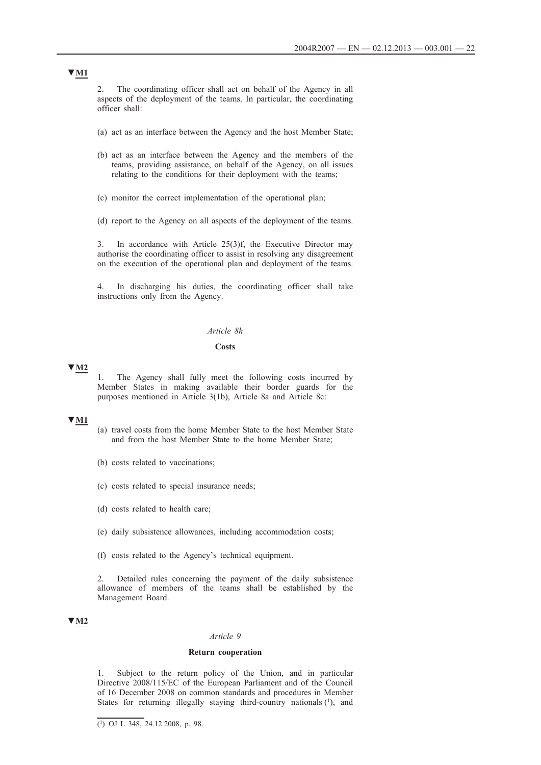2. The coordinating officer shall act on behalf of the Agency in all aspects of the deployment of the teams. In particular, the coordinating officer shall:

- (a) act as an interface between the Agency and the host Member State;
- (b) act as an interface between the Agency and the members of the teams, providing assistance, on behalf of the Agency, on all issues relating to the conditions for their deployment with the teams;
- (c) monitor the correct implementation of the operational plan;
- (d) report to the Agency on all aspects of the deployment of the teams.

3. In accordance with Article 25(3)f, the Executive Director may authorise the coordinating officer to assist in resolving any disagreement on the execution of the operational plan and deployment of the teams.

4. In discharging his duties, the coordinating officer shall take instructions only from the Agency.

#### *Article 8h*

### **Costs**

### **▼M2**

1. The Agency shall fully meet the following costs incurred by Member States in making available their border guards for the purposes mentioned in Article 3(1b), Article 8a and Article 8c:

### **▼M1**

- (a) travel costs from the home Member State to the host Member State and from the host Member State to the home Member State;
- (b) costs related to vaccinations;
- (c) costs related to special insurance needs;
- (d) costs related to health care;
- (e) daily subsistence allowances, including accommodation costs;
- (f) costs related to the Agency's technical equipment.

2. Detailed rules concerning the payment of the daily subsistence allowance of members of the teams shall be established by the Management Board.

### **▼M2**

#### *Article 9*

#### **Return cooperation**

1. Subject to the return policy of the Union, and in particular Directive 2008/115/EC of the European Parliament and of the Council of 16 December 2008 on common standards and procedures in Member States for returning illegally staying third-country nationals  $(1)$ , and

 $\overline{(^1)}$  OJ L 348, 24.12.2008, p. 98.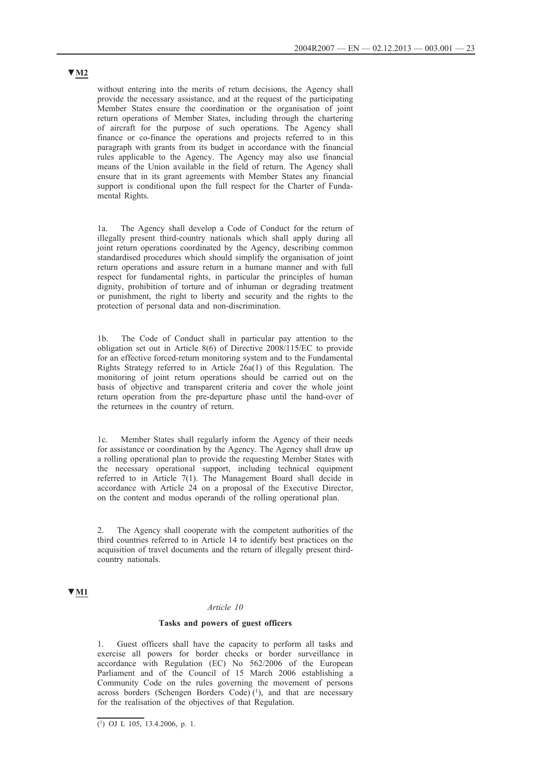without entering into the merits of return decisions, the Agency shall provide the necessary assistance, and at the request of the participating Member States ensure the coordination or the organisation of joint return operations of Member States, including through the chartering of aircraft for the purpose of such operations. The Agency shall finance or co-finance the operations and projects referred to in this paragraph with grants from its budget in accordance with the financial rules applicable to the Agency. The Agency may also use financial means of the Union available in the field of return. The Agency shall ensure that in its grant agreements with Member States any financial support is conditional upon the full respect for the Charter of Fundamental Rights.

1a. The Agency shall develop a Code of Conduct for the return of illegally present third-country nationals which shall apply during all joint return operations coordinated by the Agency, describing common standardised procedures which should simplify the organisation of joint return operations and assure return in a humane manner and with full respect for fundamental rights, in particular the principles of human dignity, prohibition of torture and of inhuman or degrading treatment or punishment, the right to liberty and security and the rights to the protection of personal data and non-discrimination.

The Code of Conduct shall in particular pay attention to the obligation set out in Article 8(6) of Directive 2008/115/EC to provide for an effective forced-return monitoring system and to the Fundamental Rights Strategy referred to in Article 26a(1) of this Regulation. The monitoring of joint return operations should be carried out on the basis of objective and transparent criteria and cover the whole joint return operation from the pre-departure phase until the hand-over of the returnees in the country of return.

1c. Member States shall regularly inform the Agency of their needs for assistance or coordination by the Agency. The Agency shall draw up a rolling operational plan to provide the requesting Member States with the necessary operational support, including technical equipment referred to in Article 7(1). The Management Board shall decide in accordance with Article 24 on a proposal of the Executive Director, on the content and modus operandi of the rolling operational plan.

2. The Agency shall cooperate with the competent authorities of the third countries referred to in Article 14 to identify best practices on the acquisition of travel documents and the return of illegally present thirdcountry nationals.

# **▼M1**

#### *Article 10*

#### **Tasks and powers of guest officers**

1. Guest officers shall have the capacity to perform all tasks and exercise all powers for border checks or border surveillance in accordance with Regulation (EC) No 562/2006 of the European Parliament and of the Council of 15 March 2006 establishing a Community Code on the rules governing the movement of persons across borders (Schengen Borders Code) $(1)$ , and that are necessary for the realisation of the objectives of that Regulation.

 $(1)$  OJ L 105, 13.4.2006, p. 1.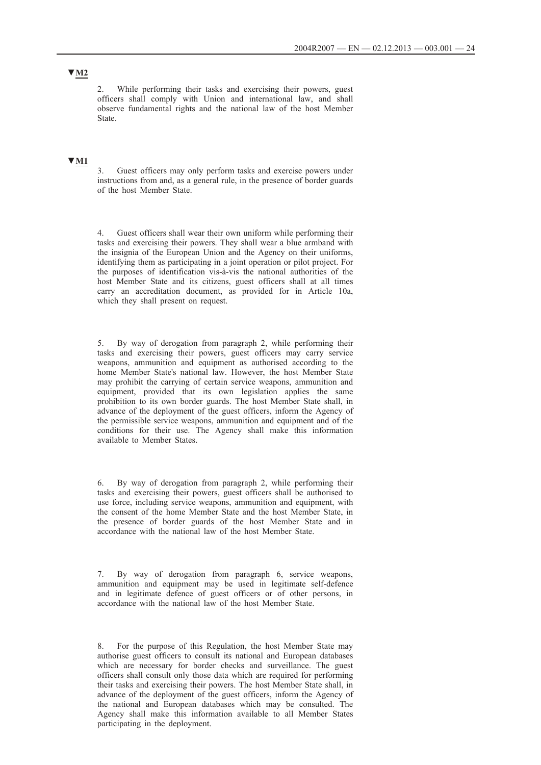2. While performing their tasks and exercising their powers, guest officers shall comply with Union and international law, and shall observe fundamental rights and the national law of the host Member State.

# **▼M1**

3. Guest officers may only perform tasks and exercise powers under instructions from and, as a general rule, in the presence of border guards of the host Member State.

4. Guest officers shall wear their own uniform while performing their tasks and exercising their powers. They shall wear a blue armband with the insignia of the European Union and the Agency on their uniforms, identifying them as participating in a joint operation or pilot project. For the purposes of identification vis-à-vis the national authorities of the host Member State and its citizens, guest officers shall at all times carry an accreditation document, as provided for in Article 10a, which they shall present on request.

5. By way of derogation from paragraph 2, while performing their tasks and exercising their powers, guest officers may carry service weapons, ammunition and equipment as authorised according to the home Member State's national law. However, the host Member State may prohibit the carrying of certain service weapons, ammunition and equipment, provided that its own legislation applies the same prohibition to its own border guards. The host Member State shall, in advance of the deployment of the guest officers, inform the Agency of the permissible service weapons, ammunition and equipment and of the conditions for their use. The Agency shall make this information available to Member States.

6. By way of derogation from paragraph 2, while performing their tasks and exercising their powers, guest officers shall be authorised to use force, including service weapons, ammunition and equipment, with the consent of the home Member State and the host Member State, in the presence of border guards of the host Member State and in accordance with the national law of the host Member State.

By way of derogation from paragraph 6, service weapons, ammunition and equipment may be used in legitimate self-defence and in legitimate defence of guest officers or of other persons, in accordance with the national law of the host Member State.

8. For the purpose of this Regulation, the host Member State may authorise guest officers to consult its national and European databases which are necessary for border checks and surveillance. The guest officers shall consult only those data which are required for performing their tasks and exercising their powers. The host Member State shall, in advance of the deployment of the guest officers, inform the Agency of the national and European databases which may be consulted. The Agency shall make this information available to all Member States participating in the deployment.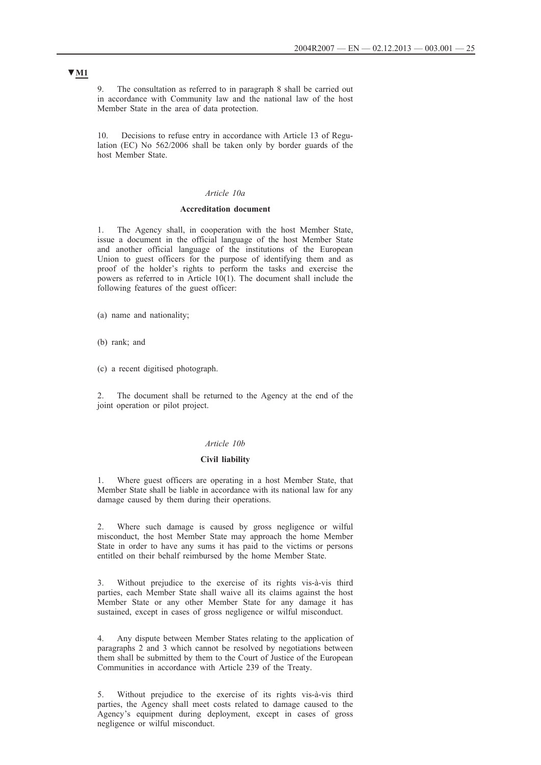9. The consultation as referred to in paragraph 8 shall be carried out in accordance with Community law and the national law of the host Member State in the area of data protection.

10. Decisions to refuse entry in accordance with Article 13 of Regulation (EC) No 562/2006 shall be taken only by border guards of the host Member State.

## *Article 10a*

#### **Accreditation document**

1. The Agency shall, in cooperation with the host Member State, issue a document in the official language of the host Member State and another official language of the institutions of the European Union to guest officers for the purpose of identifying them and as proof of the holder's rights to perform the tasks and exercise the powers as referred to in Article  $10(1)$ . The document shall include the following features of the guest officer:

- (a) name and nationality;
- (b) rank; and
- (c) a recent digitised photograph.

2. The document shall be returned to the Agency at the end of the joint operation or pilot project.

### *Article 10b*

#### **Civil liability**

1. Where guest officers are operating in a host Member State, that Member State shall be liable in accordance with its national law for any damage caused by them during their operations.

2. Where such damage is caused by gross negligence or wilful misconduct, the host Member State may approach the home Member State in order to have any sums it has paid to the victims or persons entitled on their behalf reimbursed by the home Member State.

3. Without prejudice to the exercise of its rights vis-à-vis third parties, each Member State shall waive all its claims against the host Member State or any other Member State for any damage it has sustained, except in cases of gross negligence or wilful misconduct.

4. Any dispute between Member States relating to the application of paragraphs 2 and 3 which cannot be resolved by negotiations between them shall be submitted by them to the Court of Justice of the European Communities in accordance with Article 239 of the Treaty.

5. Without prejudice to the exercise of its rights vis-à-vis third parties, the Agency shall meet costs related to damage caused to the Agency's equipment during deployment, except in cases of gross negligence or wilful misconduct.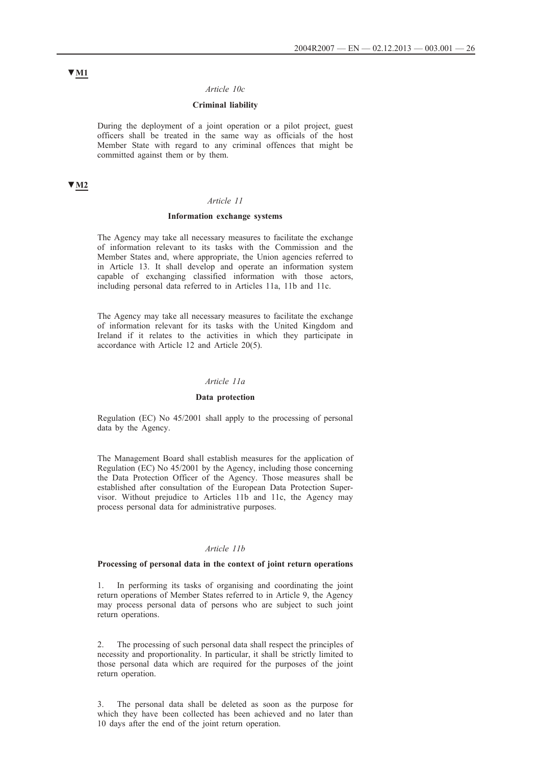#### *Article 10c*

# **Criminal liability**

During the deployment of a joint operation or a pilot project, guest officers shall be treated in the same way as officials of the host Member State with regard to any criminal offences that might be committed against them or by them.

### **▼M2**

#### *Article 11*

### **Information exchange systems**

The Agency may take all necessary measures to facilitate the exchange of information relevant to its tasks with the Commission and the Member States and, where appropriate, the Union agencies referred to in Article 13. It shall develop and operate an information system capable of exchanging classified information with those actors, including personal data referred to in Articles 11a, 11b and 11c.

The Agency may take all necessary measures to facilitate the exchange of information relevant for its tasks with the United Kingdom and Ireland if it relates to the activities in which they participate in accordance with Article 12 and Article 20(5).

#### *Article 11a*

#### **Data protection**

Regulation (EC) No 45/2001 shall apply to the processing of personal data by the Agency.

The Management Board shall establish measures for the application of Regulation (EC) No 45/2001 by the Agency, including those concerning the Data Protection Officer of the Agency. Those measures shall be established after consultation of the European Data Protection Supervisor. Without prejudice to Articles 11b and 11c, the Agency may process personal data for administrative purposes.

#### *Article 11b*

### **Processing of personal data in the context of joint return operations**

1. In performing its tasks of organising and coordinating the joint return operations of Member States referred to in Article 9, the Agency may process personal data of persons who are subject to such joint return operations.

2. The processing of such personal data shall respect the principles of necessity and proportionality. In particular, it shall be strictly limited to those personal data which are required for the purposes of the joint return operation.

3. The personal data shall be deleted as soon as the purpose for which they have been collected has been achieved and no later than 10 days after the end of the joint return operation.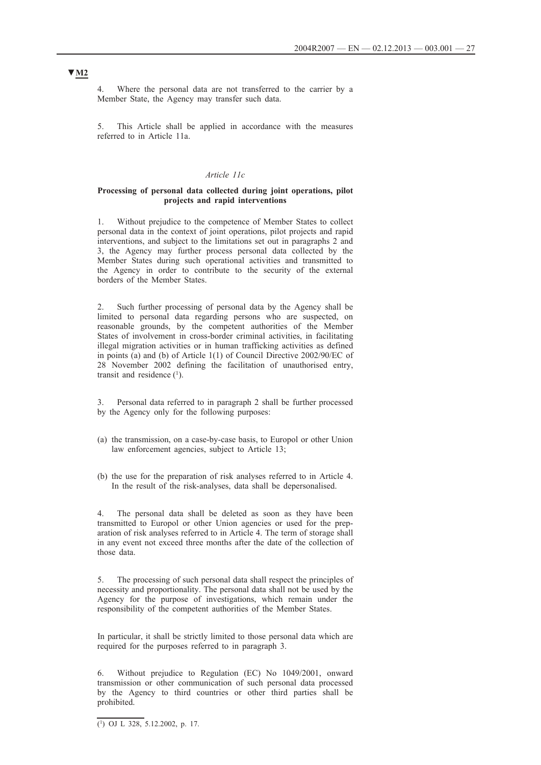Where the personal data are not transferred to the carrier by a Member State, the Agency may transfer such data.

5. This Article shall be applied in accordance with the measures referred to in Article 11a.

## *Article 11c*

#### **Processing of personal data collected during joint operations, pilot projects and rapid interventions**

1. Without prejudice to the competence of Member States to collect personal data in the context of joint operations, pilot projects and rapid interventions, and subject to the limitations set out in paragraphs 2 and 3, the Agency may further process personal data collected by the Member States during such operational activities and transmitted to the Agency in order to contribute to the security of the external borders of the Member States.

2. Such further processing of personal data by the Agency shall be limited to personal data regarding persons who are suspected, on reasonable grounds, by the competent authorities of the Member States of involvement in cross-border criminal activities, in facilitating illegal migration activities or in human trafficking activities as defined in points (a) and (b) of Article 1(1) of Council Directive 2002/90/EC of 28 November 2002 defining the facilitation of unauthorised entry, transit and residence  $(1)$ .

Personal data referred to in paragraph 2 shall be further processed by the Agency only for the following purposes:

- (a) the transmission, on a case-by-case basis, to Europol or other Union law enforcement agencies, subject to Article 13;
- (b) the use for the preparation of risk analyses referred to in Article 4. In the result of the risk-analyses, data shall be depersonalised.

4. The personal data shall be deleted as soon as they have been transmitted to Europol or other Union agencies or used for the preparation of risk analyses referred to in Article 4. The term of storage shall in any event not exceed three months after the date of the collection of those data.

5. The processing of such personal data shall respect the principles of necessity and proportionality. The personal data shall not be used by the Agency for the purpose of investigations, which remain under the responsibility of the competent authorities of the Member States.

In particular, it shall be strictly limited to those personal data which are required for the purposes referred to in paragraph 3.

6. Without prejudice to Regulation (EC) No 1049/2001, onward transmission or other communication of such personal data processed by the Agency to third countries or other third parties shall be prohibited.

 $\overline{(^1)}$  OJ L 328, 5.12.2002, p. 17.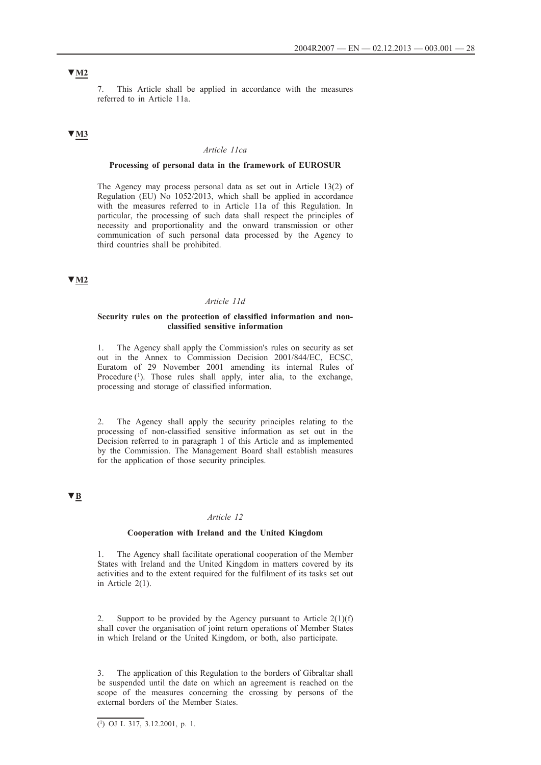# **▼M2**

7. This Article shall be applied in accordance with the measures referred to in Article 11a.

# **▼M3**

#### *Article 11ca*

#### **Processing of personal data in the framework of EUROSUR**

The Agency may process personal data as set out in Article 13(2) of Regulation (EU) No 1052/2013, which shall be applied in accordance with the measures referred to in Article 11a of this Regulation. In particular, the processing of such data shall respect the principles of necessity and proportionality and the onward transmission or other communication of such personal data processed by the Agency to third countries shall be prohibited.

## **▼M2**

#### *Article 11d*

#### **Security rules on the protection of classified information and nonclassified sensitive information**

1. The Agency shall apply the Commission's rules on security as set out in the Annex to Commission Decision 2001/844/EC, ECSC, Euratom of 29 November 2001 amending its internal Rules of Procedure  $(1)$ . Those rules shall apply, inter alia, to the exchange, processing and storage of classified information.

2. The Agency shall apply the security principles relating to the processing of non-classified sensitive information as set out in the Decision referred to in paragraph 1 of this Article and as implemented by the Commission. The Management Board shall establish measures for the application of those security principles.

# **▼B**

#### *Article 12*

#### **Cooperation with Ireland and the United Kingdom**

1. The Agency shall facilitate operational cooperation of the Member States with Ireland and the United Kingdom in matters covered by its activities and to the extent required for the fulfilment of its tasks set out in Article 2(1).

2. Support to be provided by the Agency pursuant to Article  $2(1)(f)$ shall cover the organisation of joint return operations of Member States in which Ireland or the United Kingdom, or both, also participate.

3. The application of this Regulation to the borders of Gibraltar shall be suspended until the date on which an agreement is reached on the scope of the measures concerning the crossing by persons of the external borders of the Member States.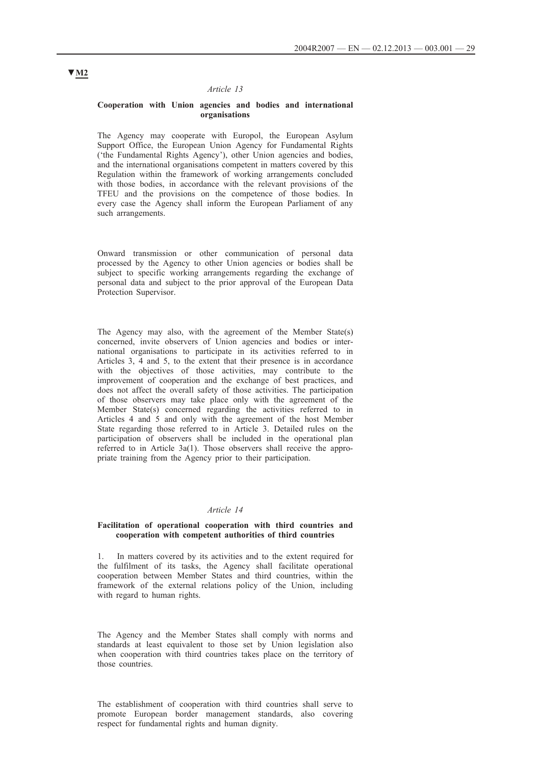#### *Article 13*

#### **Cooperation with Union agencies and bodies and international organisations**

The Agency may cooperate with Europol, the European Asylum Support Office, the European Union Agency for Fundamental Rights ('the Fundamental Rights Agency'), other Union agencies and bodies, and the international organisations competent in matters covered by this Regulation within the framework of working arrangements concluded with those bodies, in accordance with the relevant provisions of the TFEU and the provisions on the competence of those bodies. In every case the Agency shall inform the European Parliament of any such arrangements.

Onward transmission or other communication of personal data processed by the Agency to other Union agencies or bodies shall be subject to specific working arrangements regarding the exchange of personal data and subject to the prior approval of the European Data Protection Supervisor.

The Agency may also, with the agreement of the Member State(s) concerned, invite observers of Union agencies and bodies or international organisations to participate in its activities referred to in Articles 3, 4 and 5, to the extent that their presence is in accordance with the objectives of those activities, may contribute to the improvement of cooperation and the exchange of best practices, and does not affect the overall safety of those activities. The participation of those observers may take place only with the agreement of the Member State(s) concerned regarding the activities referred to in Articles 4 and 5 and only with the agreement of the host Member State regarding those referred to in Article 3. Detailed rules on the participation of observers shall be included in the operational plan referred to in Article 3a(1). Those observers shall receive the appropriate training from the Agency prior to their participation.

#### *Article 14*

#### **Facilitation of operational cooperation with third countries and cooperation with competent authorities of third countries**

1. In matters covered by its activities and to the extent required for the fulfilment of its tasks, the Agency shall facilitate operational cooperation between Member States and third countries, within the framework of the external relations policy of the Union, including with regard to human rights.

The Agency and the Member States shall comply with norms and standards at least equivalent to those set by Union legislation also when cooperation with third countries takes place on the territory of those countries.

The establishment of cooperation with third countries shall serve to promote European border management standards, also covering respect for fundamental rights and human dignity.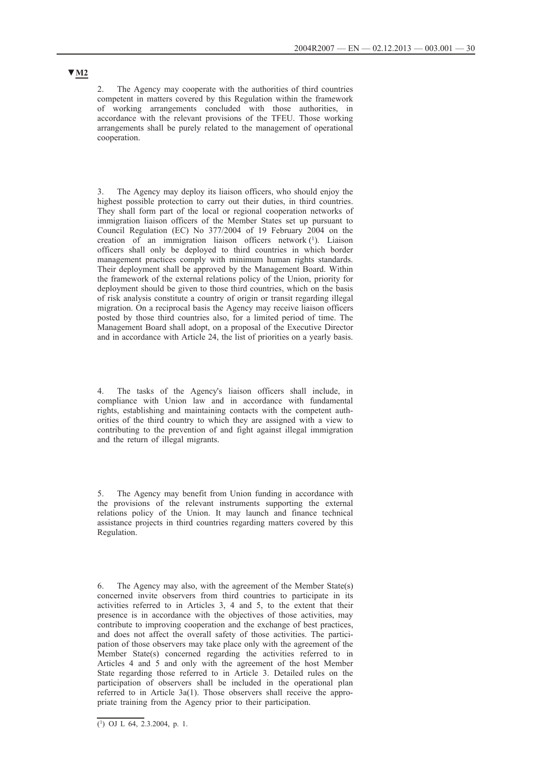2. The Agency may cooperate with the authorities of third countries competent in matters covered by this Regulation within the framework of working arrangements concluded with those authorities, in accordance with the relevant provisions of the TFEU. Those working arrangements shall be purely related to the management of operational cooperation.

3. The Agency may deploy its liaison officers, who should enjoy the highest possible protection to carry out their duties, in third countries. They shall form part of the local or regional cooperation networks of immigration liaison officers of the Member States set up pursuant to Council Regulation (EC) No 377/2004 of 19 February 2004 on the creation of an immigration liaison officers network (1). Liaison officers shall only be deployed to third countries in which border management practices comply with minimum human rights standards. Their deployment shall be approved by the Management Board. Within the framework of the external relations policy of the Union, priority for deployment should be given to those third countries, which on the basis of risk analysis constitute a country of origin or transit regarding illegal migration. On a reciprocal basis the Agency may receive liaison officers posted by those third countries also, for a limited period of time. The Management Board shall adopt, on a proposal of the Executive Director and in accordance with Article 24, the list of priorities on a yearly basis.

The tasks of the Agency's liaison officers shall include, in compliance with Union law and in accordance with fundamental rights, establishing and maintaining contacts with the competent authorities of the third country to which they are assigned with a view to contributing to the prevention of and fight against illegal immigration and the return of illegal migrants.

5. The Agency may benefit from Union funding in accordance with the provisions of the relevant instruments supporting the external relations policy of the Union. It may launch and finance technical assistance projects in third countries regarding matters covered by this Regulation.

6. The Agency may also, with the agreement of the Member State(s) concerned invite observers from third countries to participate in its activities referred to in Articles 3, 4 and 5, to the extent that their presence is in accordance with the objectives of those activities, may contribute to improving cooperation and the exchange of best practices, and does not affect the overall safety of those activities. The participation of those observers may take place only with the agreement of the Member State(s) concerned regarding the activities referred to in Articles 4 and 5 and only with the agreement of the host Member State regarding those referred to in Article 3. Detailed rules on the participation of observers shall be included in the operational plan referred to in Article 3a(1). Those observers shall receive the appropriate training from the Agency prior to their participation.

 $(1)$  OJ L 64, 2,3,2004, p. 1.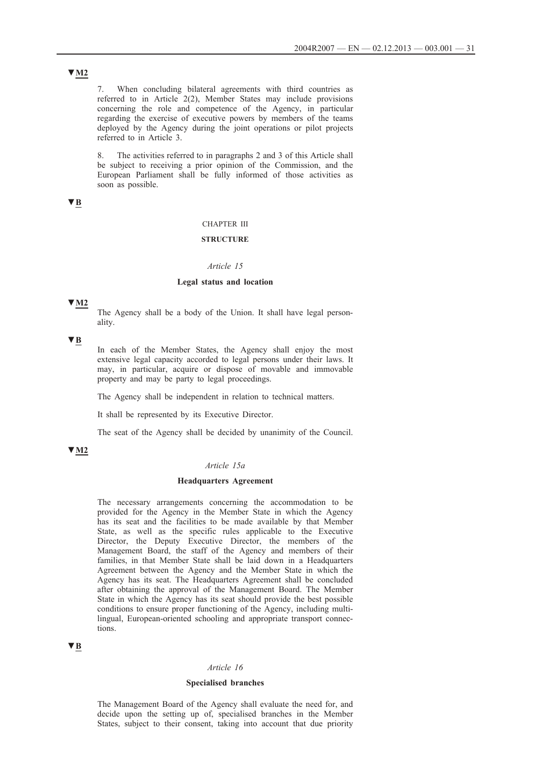7. When concluding bilateral agreements with third countries as referred to in Article 2(2), Member States may include provisions concerning the role and competence of the Agency, in particular regarding the exercise of executive powers by members of the teams deployed by the Agency during the joint operations or pilot projects referred to in Article 3.

8. The activities referred to in paragraphs 2 and 3 of this Article shall be subject to receiving a prior opinion of the Commission, and the European Parliament shall be fully informed of those activities as soon as possible.

# **▼B**

#### CHAPTER III

#### **STRUCTURE**

### *Article 15*

### **Legal status and location**

### **▼M2**

The Agency shall be a body of the Union. It shall have legal personality.

## **▼B**

In each of the Member States, the Agency shall enjoy the most extensive legal capacity accorded to legal persons under their laws. It may, in particular, acquire or dispose of movable and immovable property and may be party to legal proceedings.

The Agency shall be independent in relation to technical matters.

It shall be represented by its Executive Director.

The seat of the Agency shall be decided by unanimity of the Council.

## **▼M2**

### *Article 15a*

### **Headquarters Agreement**

The necessary arrangements concerning the accommodation to be provided for the Agency in the Member State in which the Agency has its seat and the facilities to be made available by that Member State, as well as the specific rules applicable to the Executive Director, the Deputy Executive Director, the members of the Management Board, the staff of the Agency and members of their families, in that Member State shall be laid down in a Headquarters Agreement between the Agency and the Member State in which the Agency has its seat. The Headquarters Agreement shall be concluded after obtaining the approval of the Management Board. The Member State in which the Agency has its seat should provide the best possible conditions to ensure proper functioning of the Agency, including multilingual, European-oriented schooling and appropriate transport connections.

### **▼B**

#### *Article 16*

### **Specialised branches**

The Management Board of the Agency shall evaluate the need for, and decide upon the setting up of, specialised branches in the Member States, subject to their consent, taking into account that due priority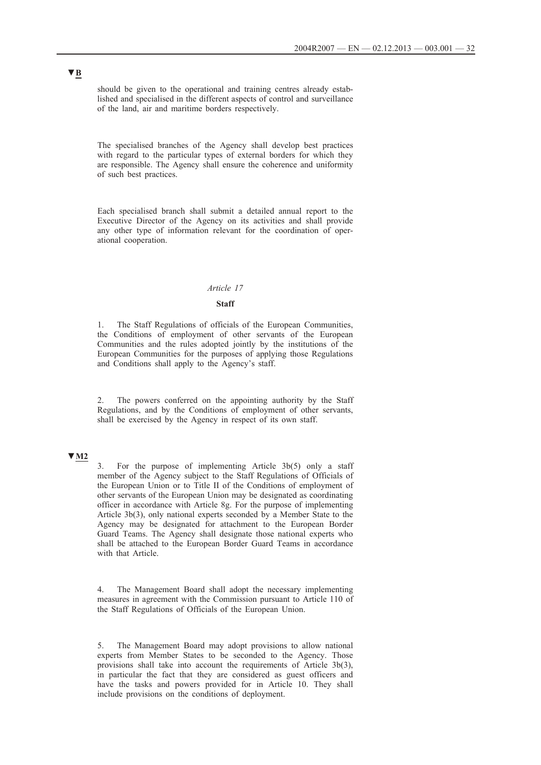should be given to the operational and training centres already established and specialised in the different aspects of control and surveillance of the land, air and maritime borders respectively.

The specialised branches of the Agency shall develop best practices with regard to the particular types of external borders for which they are responsible. The Agency shall ensure the coherence and uniformity of such best practices.

Each specialised branch shall submit a detailed annual report to the Executive Director of the Agency on its activities and shall provide any other type of information relevant for the coordination of operational cooperation.

### *Article 17*

#### **Staff**

1. The Staff Regulations of officials of the European Communities, the Conditions of employment of other servants of the European Communities and the rules adopted jointly by the institutions of the European Communities for the purposes of applying those Regulations and Conditions shall apply to the Agency's staff.

2. The powers conferred on the appointing authority by the Staff Regulations, and by the Conditions of employment of other servants, shall be exercised by the Agency in respect of its own staff.

# **▼M2**

3. For the purpose of implementing Article 3b(5) only a staff member of the Agency subject to the Staff Regulations of Officials of the European Union or to Title II of the Conditions of employment of other servants of the European Union may be designated as coordinating officer in accordance with Article 8g. For the purpose of implementing Article 3b(3), only national experts seconded by a Member State to the Agency may be designated for attachment to the European Border Guard Teams. The Agency shall designate those national experts who shall be attached to the European Border Guard Teams in accordance with that Article.

4. The Management Board shall adopt the necessary implementing measures in agreement with the Commission pursuant to Article 110 of the Staff Regulations of Officials of the European Union.

5. The Management Board may adopt provisions to allow national experts from Member States to be seconded to the Agency. Those provisions shall take into account the requirements of Article 3b(3), in particular the fact that they are considered as guest officers and have the tasks and powers provided for in Article 10. They shall include provisions on the conditions of deployment.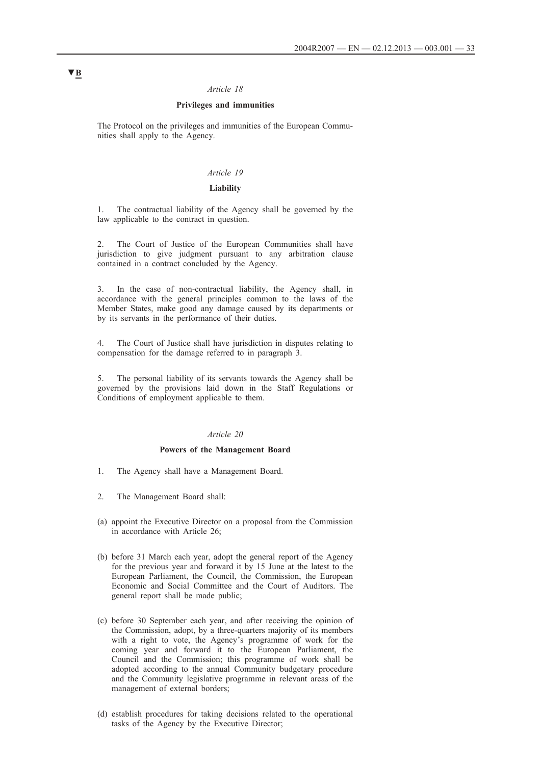## *Article 18*

## **Privileges and immunities**

The Protocol on the privileges and immunities of the European Communities shall apply to the Agency.

### *Article 19*

### **Liability**

1. The contractual liability of the Agency shall be governed by the law applicable to the contract in question.

The Court of Justice of the European Communities shall have jurisdiction to give judgment pursuant to any arbitration clause contained in a contract concluded by the Agency.

3. In the case of non-contractual liability, the Agency shall, in accordance with the general principles common to the laws of the Member States, make good any damage caused by its departments or by its servants in the performance of their duties.

4. The Court of Justice shall have jurisdiction in disputes relating to compensation for the damage referred to in paragraph 3.

5. The personal liability of its servants towards the Agency shall be governed by the provisions laid down in the Staff Regulations or Conditions of employment applicable to them.

#### *Article 20*

#### **Powers of the Management Board**

- 1. The Agency shall have a Management Board.
- 2. The Management Board shall:
- (a) appoint the Executive Director on a proposal from the Commission in accordance with Article 26;
- (b) before 31 March each year, adopt the general report of the Agency for the previous year and forward it by 15 June at the latest to the European Parliament, the Council, the Commission, the European Economic and Social Committee and the Court of Auditors. The general report shall be made public;
- (c) before 30 September each year, and after receiving the opinion of the Commission, adopt, by a three-quarters majority of its members with a right to vote, the Agency's programme of work for the coming year and forward it to the European Parliament, the Council and the Commission; this programme of work shall be adopted according to the annual Community budgetary procedure and the Community legislative programme in relevant areas of the management of external borders;
- (d) establish procedures for taking decisions related to the operational tasks of the Agency by the Executive Director;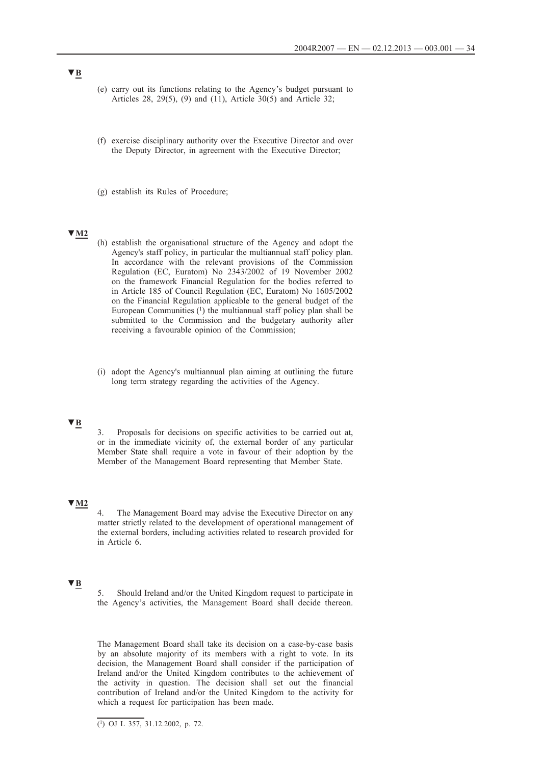- (e) carry out its functions relating to the Agency's budget pursuant to Articles 28, 29(5), (9) and (11), Article 30(5) and Article 32;
- (f) exercise disciplinary authority over the Executive Director and over the Deputy Director, in agreement with the Executive Director;
- (g) establish its Rules of Procedure;

# **▼M2**

- (h) establish the organisational structure of the Agency and adopt the Agency's staff policy, in particular the multiannual staff policy plan. In accordance with the relevant provisions of the Commission Regulation (EC, Euratom) No 2343/2002 of 19 November 2002 on the framework Financial Regulation for the bodies referred to in Article 185 of Council Regulation (EC, Euratom) No 1605/2002 on the Financial Regulation applicable to the general budget of the European Communities  $(1)$  the multiannual staff policy plan shall be submitted to the Commission and the budgetary authority after receiving a favourable opinion of the Commission;
- (i) adopt the Agency's multiannual plan aiming at outlining the future long term strategy regarding the activities of the Agency.

## **▼B**

3. Proposals for decisions on specific activities to be carried out at, or in the immediate vicinity of, the external border of any particular Member State shall require a vote in favour of their adoption by the Member of the Management Board representing that Member State.

# **▼M2**

The Management Board may advise the Executive Director on any matter strictly related to the development of operational management of the external borders, including activities related to research provided for in Article 6.

## **▼B**

5. Should Ireland and/or the United Kingdom request to participate in the Agency's activities, the Management Board shall decide thereon.

The Management Board shall take its decision on a case-by-case basis by an absolute majority of its members with a right to vote. In its decision, the Management Board shall consider if the participation of Ireland and/or the United Kingdom contributes to the achievement of the activity in question. The decision shall set out the financial contribution of Ireland and/or the United Kingdom to the activity for which a request for participation has been made.

 $\overline{(\text{1})}$  OJ L 357, 31.12.2002, p. 72.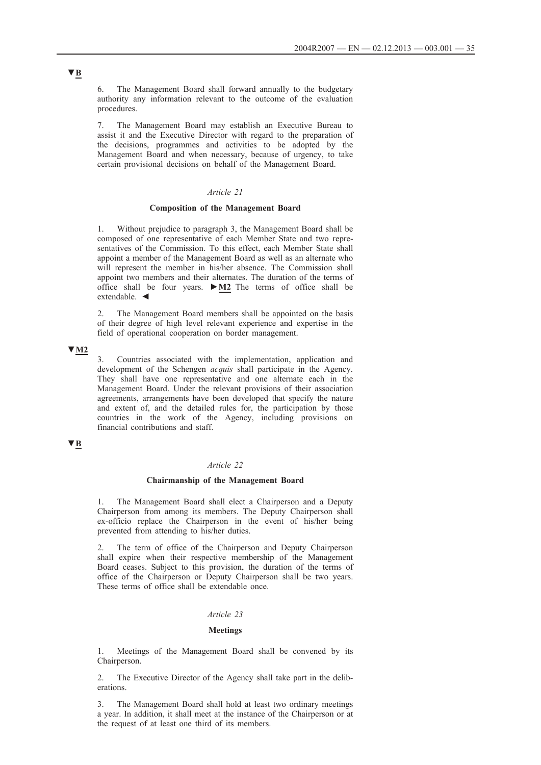6. The Management Board shall forward annually to the budgetary authority any information relevant to the outcome of the evaluation procedures.

7. The Management Board may establish an Executive Bureau to assist it and the Executive Director with regard to the preparation of the decisions, programmes and activities to be adopted by the Management Board and when necessary, because of urgency, to take certain provisional decisions on behalf of the Management Board.

#### *Article 21*

#### **Composition of the Management Board**

1. Without prejudice to paragraph 3, the Management Board shall be composed of one representative of each Member State and two representatives of the Commission. To this effect, each Member State shall appoint a member of the Management Board as well as an alternate who will represent the member in his/her absence. The Commission shall appoint two members and their alternates. The duration of the terms of office shall be four years. **►M2** The terms of office shall be extendable. ◄

2. The Management Board members shall be appointed on the basis of their degree of high level relevant experience and expertise in the field of operational cooperation on border management.

### **▼M2**

3. Countries associated with the implementation, application and development of the Schengen *acquis* shall participate in the Agency. They shall have one representative and one alternate each in the Management Board. Under the relevant provisions of their association agreements, arrangements have been developed that specify the nature and extent of, and the detailed rules for, the participation by those countries in the work of the Agency, including provisions on financial contributions and staff.

# **▼B**

## *Article 22*

#### **Chairmanship of the Management Board**

The Management Board shall elect a Chairperson and a Deputy Chairperson from among its members. The Deputy Chairperson shall ex-officio replace the Chairperson in the event of his/her being prevented from attending to his/her duties.

2. The term of office of the Chairperson and Deputy Chairperson shall expire when their respective membership of the Management Board ceases. Subject to this provision, the duration of the terms of office of the Chairperson or Deputy Chairperson shall be two years. These terms of office shall be extendable once.

#### *Article 23*

#### **Meetings**

1. Meetings of the Management Board shall be convened by its Chairperson.

2. The Executive Director of the Agency shall take part in the deliberations.

3. The Management Board shall hold at least two ordinary meetings a year. In addition, it shall meet at the instance of the Chairperson or at the request of at least one third of its members.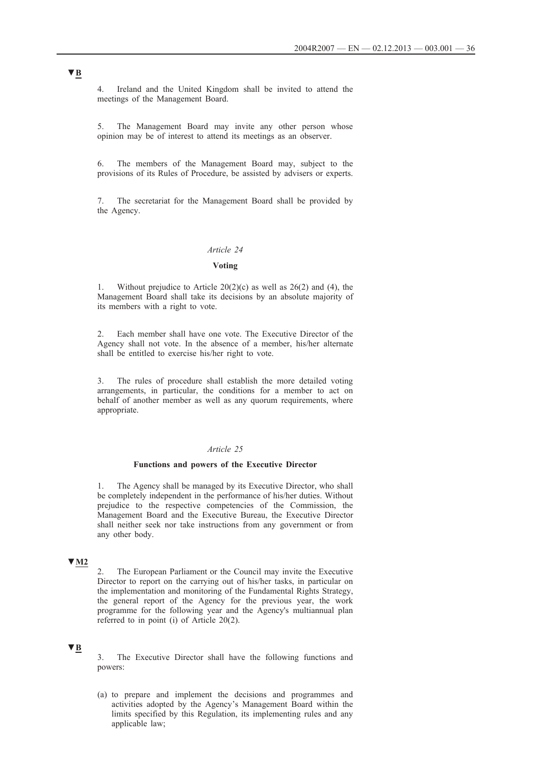4. Ireland and the United Kingdom shall be invited to attend the meetings of the Management Board.

5. The Management Board may invite any other person whose opinion may be of interest to attend its meetings as an observer.

6. The members of the Management Board may, subject to the provisions of its Rules of Procedure, be assisted by advisers or experts.

7. The secretariat for the Management Board shall be provided by the Agency.

#### *Article 24*

# **Voting**

1. Without prejudice to Article  $20(2)(c)$  as well as  $26(2)$  and (4), the Management Board shall take its decisions by an absolute majority of its members with a right to vote.

2. Each member shall have one vote. The Executive Director of the Agency shall not vote. In the absence of a member, his/her alternate shall be entitled to exercise his/her right to vote.

3. The rules of procedure shall establish the more detailed voting arrangements, in particular, the conditions for a member to act on behalf of another member as well as any quorum requirements, where appropriate.

#### *Article 25*

### **Functions and powers of the Executive Director**

1. The Agency shall be managed by its Executive Director, who shall be completely independent in the performance of his/her duties. Without prejudice to the respective competencies of the Commission, the Management Board and the Executive Bureau, the Executive Director shall neither seek nor take instructions from any government or from any other body.

# **▼M2**

2. The European Parliament or the Council may invite the Executive Director to report on the carrying out of his/her tasks, in particular on the implementation and monitoring of the Fundamental Rights Strategy, the general report of the Agency for the previous year, the work programme for the following year and the Agency's multiannual plan referred to in point (i) of Article 20(2).

#### **▼B**

3. The Executive Director shall have the following functions and powers:

(a) to prepare and implement the decisions and programmes and activities adopted by the Agency's Management Board within the limits specified by this Regulation, its implementing rules and any applicable law;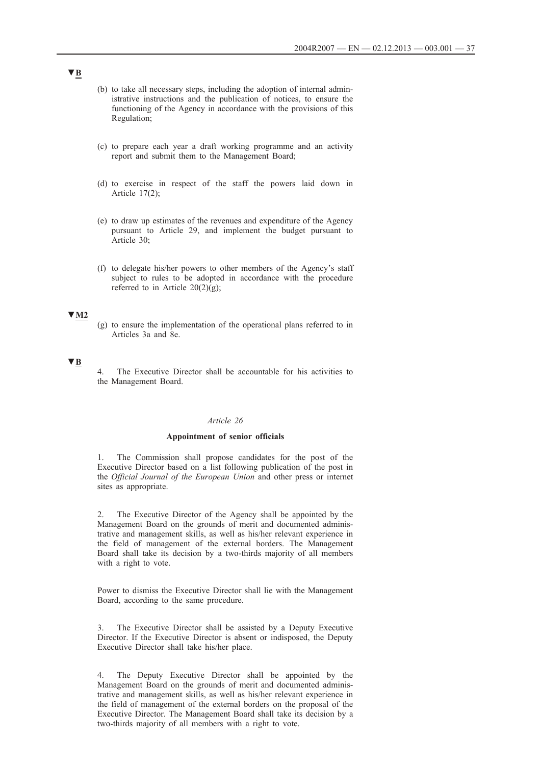(b) to take all necessary steps, including the adoption of internal administrative instructions and the publication of notices, to ensure the functioning of the Agency in accordance with the provisions of this Regulation;

- (c) to prepare each year a draft working programme and an activity report and submit them to the Management Board;
- (d) to exercise in respect of the staff the powers laid down in Article 17(2);
- (e) to draw up estimates of the revenues and expenditure of the Agency pursuant to Article 29, and implement the budget pursuant to Article 30;
- (f) to delegate his/her powers to other members of the Agency's staff subject to rules to be adopted in accordance with the procedure referred to in Article  $20(2)(g)$ ;

### **▼M2**

(g) to ensure the implementation of the operational plans referred to in Articles 3a and 8e.

### **▼B**

4. The Executive Director shall be accountable for his activities to the Management Board.

#### *Article 26*

#### **Appointment of senior officials**

1. The Commission shall propose candidates for the post of the Executive Director based on a list following publication of the post in the *Official Journal of the European Union* and other press or internet sites as appropriate.

2. The Executive Director of the Agency shall be appointed by the Management Board on the grounds of merit and documented administrative and management skills, as well as his/her relevant experience in the field of management of the external borders. The Management Board shall take its decision by a two-thirds majority of all members with a right to vote.

Power to dismiss the Executive Director shall lie with the Management Board, according to the same procedure.

3. The Executive Director shall be assisted by a Deputy Executive Director. If the Executive Director is absent or indisposed, the Deputy Executive Director shall take his/her place.

4. The Deputy Executive Director shall be appointed by the Management Board on the grounds of merit and documented administrative and management skills, as well as his/her relevant experience in the field of management of the external borders on the proposal of the Executive Director. The Management Board shall take its decision by a two-thirds majority of all members with a right to vote.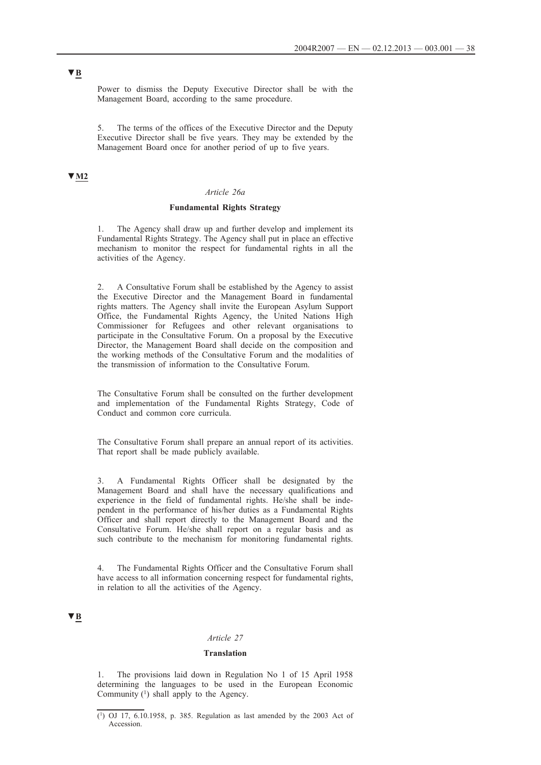Power to dismiss the Deputy Executive Director shall be with the Management Board, according to the same procedure.

5. The terms of the offices of the Executive Director and the Deputy Executive Director shall be five years. They may be extended by the Management Board once for another period of up to five years.

# **▼M2**

### *Article 26a*

## **Fundamental Rights Strategy**

The Agency shall draw up and further develop and implement its Fundamental Rights Strategy. The Agency shall put in place an effective mechanism to monitor the respect for fundamental rights in all the activities of the Agency.

2. A Consultative Forum shall be established by the Agency to assist the Executive Director and the Management Board in fundamental rights matters. The Agency shall invite the European Asylum Support Office, the Fundamental Rights Agency, the United Nations High Commissioner for Refugees and other relevant organisations to participate in the Consultative Forum. On a proposal by the Executive Director, the Management Board shall decide on the composition and the working methods of the Consultative Forum and the modalities of the transmission of information to the Consultative Forum.

The Consultative Forum shall be consulted on the further development and implementation of the Fundamental Rights Strategy, Code of Conduct and common core curricula.

The Consultative Forum shall prepare an annual report of its activities. That report shall be made publicly available.

3. A Fundamental Rights Officer shall be designated by the Management Board and shall have the necessary qualifications and experience in the field of fundamental rights. He/she shall be independent in the performance of his/her duties as a Fundamental Rights Officer and shall report directly to the Management Board and the Consultative Forum. He/she shall report on a regular basis and as such contribute to the mechanism for monitoring fundamental rights.

4. The Fundamental Rights Officer and the Consultative Forum shall have access to all information concerning respect for fundamental rights, in relation to all the activities of the Agency.

## **▼B**

## *Article 27*

#### **Translation**

1. The provisions laid down in Regulation No 1 of 15 April 1958 determining the languages to be used in the European Economic Community (1) shall apply to the Agency.

<sup>(1)</sup> OJ 17, 6.10.1958, p. 385. Regulation as last amended by the 2003 Act of **Accession**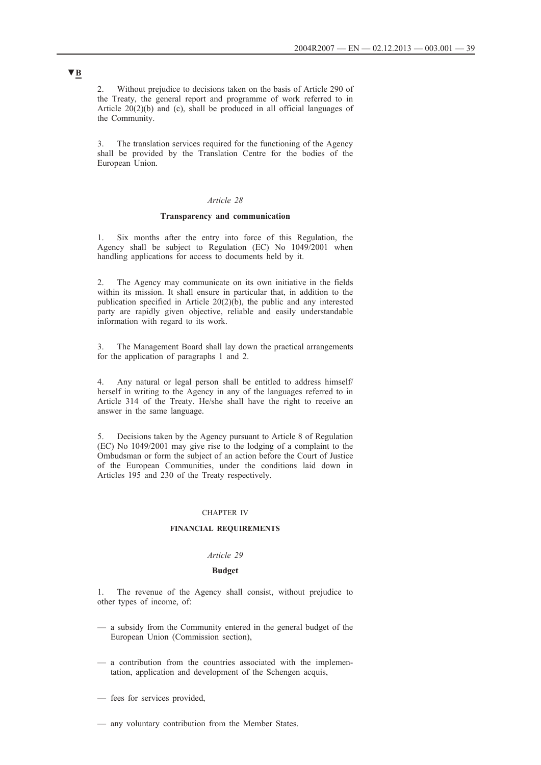2. Without prejudice to decisions taken on the basis of Article 290 of the Treaty, the general report and programme of work referred to in Article 20(2)(b) and (c), shall be produced in all official languages of the Community.

3. The translation services required for the functioning of the Agency shall be provided by the Translation Centre for the bodies of the European Union.

### *Article 28*

#### **Transparency and communication**

1. Six months after the entry into force of this Regulation, the Agency shall be subject to Regulation (EC) No 1049/2001 when handling applications for access to documents held by it.

2. The Agency may communicate on its own initiative in the fields within its mission. It shall ensure in particular that, in addition to the publication specified in Article 20(2)(b), the public and any interested party are rapidly given objective, reliable and easily understandable information with regard to its work.

The Management Board shall lay down the practical arrangements for the application of paragraphs 1 and 2.

4. Any natural or legal person shall be entitled to address himself/ herself in writing to the Agency in any of the languages referred to in Article 314 of the Treaty. He/she shall have the right to receive an answer in the same language.

5. Decisions taken by the Agency pursuant to Article 8 of Regulation (EC) No 1049/2001 may give rise to the lodging of a complaint to the Ombudsman or form the subject of an action before the Court of Justice of the European Communities, under the conditions laid down in Articles 195 and 230 of the Treaty respectively.

#### CHAPTER IV

### **FINANCIAL REQUIREMENTS**

### *Article 29*

### **Budget**

1. The revenue of the Agency shall consist, without prejudice to other types of income, of:

- a subsidy from the Community entered in the general budget of the European Union (Commission section),
- a contribution from the countries associated with the implementation, application and development of the Schengen acquis,
- fees for services provided,
- any voluntary contribution from the Member States.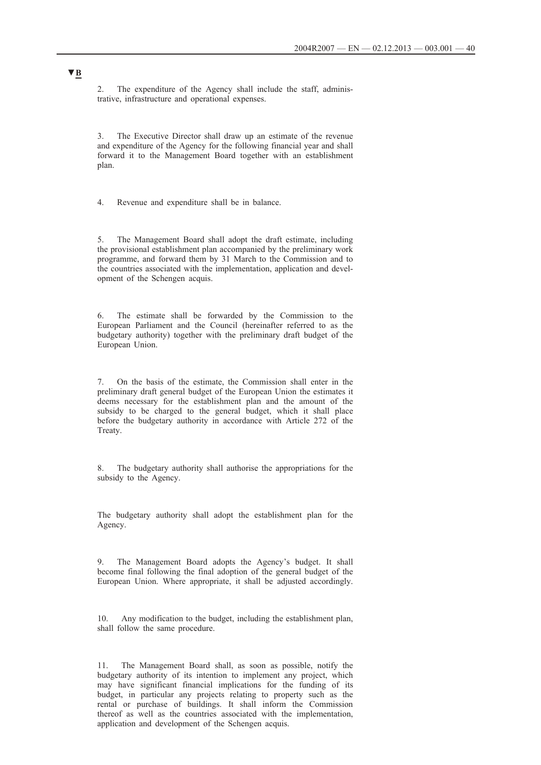2. The expenditure of the Agency shall include the staff, administrative, infrastructure and operational expenses.

3. The Executive Director shall draw up an estimate of the revenue and expenditure of the Agency for the following financial year and shall forward it to the Management Board together with an establishment plan.

4. Revenue and expenditure shall be in balance.

5. The Management Board shall adopt the draft estimate, including the provisional establishment plan accompanied by the preliminary work programme, and forward them by 31 March to the Commission and to the countries associated with the implementation, application and development of the Schengen acquis.

6. The estimate shall be forwarded by the Commission to the European Parliament and the Council (hereinafter referred to as the budgetary authority) together with the preliminary draft budget of the European Union.

7. On the basis of the estimate, the Commission shall enter in the preliminary draft general budget of the European Union the estimates it deems necessary for the establishment plan and the amount of the subsidy to be charged to the general budget, which it shall place before the budgetary authority in accordance with Article 272 of the Treaty.

8. The budgetary authority shall authorise the appropriations for the subsidy to the Agency.

The budgetary authority shall adopt the establishment plan for the Agency.

9. The Management Board adopts the Agency's budget. It shall become final following the final adoption of the general budget of the European Union. Where appropriate, it shall be adjusted accordingly.

10. Any modification to the budget, including the establishment plan, shall follow the same procedure.

11. The Management Board shall, as soon as possible, notify the budgetary authority of its intention to implement any project, which may have significant financial implications for the funding of its budget, in particular any projects relating to property such as the rental or purchase of buildings. It shall inform the Commission thereof as well as the countries associated with the implementation, application and development of the Schengen acquis.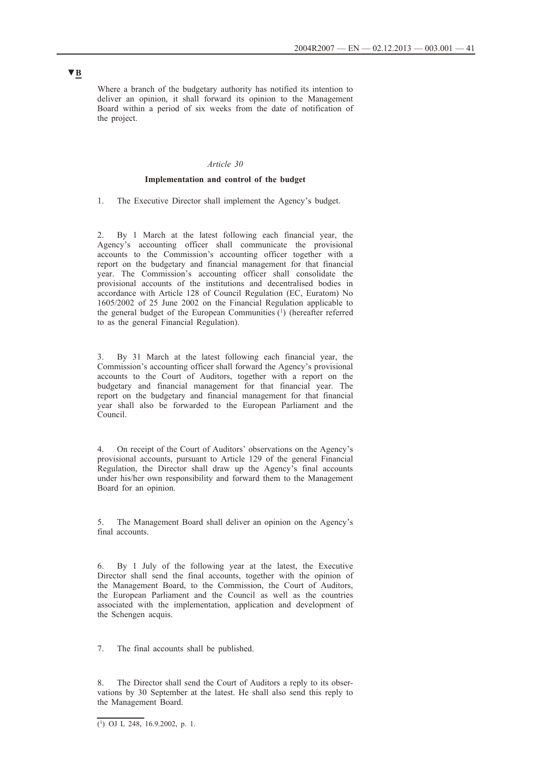Where a branch of the budgetary authority has notified its intention to deliver an opinion, it shall forward its opinion to the Management Board within a period of six weeks from the date of notification of the project.

## *Article 30*

### **Implementation and control of the budget**

1. The Executive Director shall implement the Agency's budget.

2. By 1 March at the latest following each financial year, the Agency's accounting officer shall communicate the provisional accounts to the Commission's accounting officer together with a report on the budgetary and financial management for that financial year. The Commission's accounting officer shall consolidate the provisional accounts of the institutions and decentralised bodies in accordance with Article 128 of Council Regulation (EC, Euratom) No 1605/2002 of 25 June 2002 on the Financial Regulation applicable to the general budget of the European Communities  $(1)$  (hereafter referred to as the general Financial Regulation).

3. By 31 March at the latest following each financial year, the Commission's accounting officer shall forward the Agency's provisional accounts to the Court of Auditors, together with a report on the budgetary and financial management for that financial year. The report on the budgetary and financial management for that financial year shall also be forwarded to the European Parliament and the Council.

4. On receipt of the Court of Auditors' observations on the Agency's provisional accounts, pursuant to Article 129 of the general Financial Regulation, the Director shall draw up the Agency's final accounts under his/her own responsibility and forward them to the Management Board for an opinion.

5. The Management Board shall deliver an opinion on the Agency's final accounts.

6. By 1 July of the following year at the latest, the Executive Director shall send the final accounts, together with the opinion of the Management Board, to the Commission, the Court of Auditors, the European Parliament and the Council as well as the countries associated with the implementation, application and development of the Schengen acquis.

7. The final accounts shall be published.

The Director shall send the Court of Auditors a reply to its observations by 30 September at the latest. He shall also send this reply to the Management Board.

 $\overline{(^1)}$  OJ L 248, 16.9.2002, p. 1.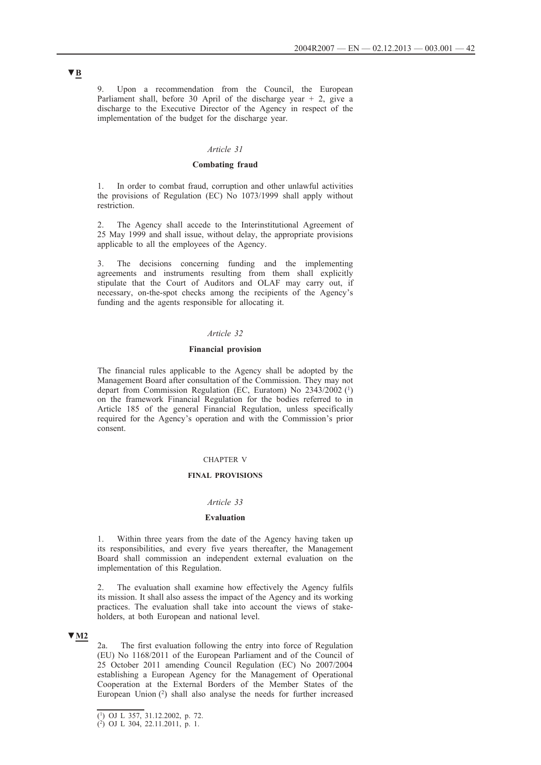Upon a recommendation from the Council, the European Parliament shall, before 30 April of the discharge year  $+2$ , give a discharge to the Executive Director of the Agency in respect of the implementation of the budget for the discharge year.

# *Article 31*

### **Combating fraud**

1. In order to combat fraud, corruption and other unlawful activities the provisions of Regulation (EC) No 1073/1999 shall apply without restriction.

The Agency shall accede to the Interinstitutional Agreement of 25 May 1999 and shall issue, without delay, the appropriate provisions applicable to all the employees of the Agency.

3. The decisions concerning funding and the implementing agreements and instruments resulting from them shall explicitly stipulate that the Court of Auditors and OLAF may carry out, if necessary, on-the-spot checks among the recipients of the Agency's funding and the agents responsible for allocating it.

## *Article 32*

#### **Financial provision**

The financial rules applicable to the Agency shall be adopted by the Management Board after consultation of the Commission. They may not depart from Commission Regulation (EC, Euratom) No 2343/2002 (1) on the framework Financial Regulation for the bodies referred to in Article 185 of the general Financial Regulation, unless specifically required for the Agency's operation and with the Commission's prior consent.

#### CHAPTER V

#### **FINAL PROVISIONS**

# *Article 33*

#### **Evaluation**

1. Within three years from the date of the Agency having taken up its responsibilities, and every five years thereafter, the Management Board shall commission an independent external evaluation on the implementation of this Regulation.

2. The evaluation shall examine how effectively the Agency fulfils its mission. It shall also assess the impact of the Agency and its working practices. The evaluation shall take into account the views of stakeholders, at both European and national level.

### **▼M2**

2a. The first evaluation following the entry into force of Regulation (EU) No 1168/2011 of the European Parliament and of the Council of 25 October 2011 amending Council Regulation (EC) No 2007/2004 establishing a European Agency for the Management of Operational Cooperation at the External Borders of the Member States of the European Union (2) shall also analyse the needs for further increased

<sup>(1)</sup> OJ L 357, 31.12.2002, p. 72.

<sup>(2)</sup> OJ L 304, 22.11.2011, p. 1.